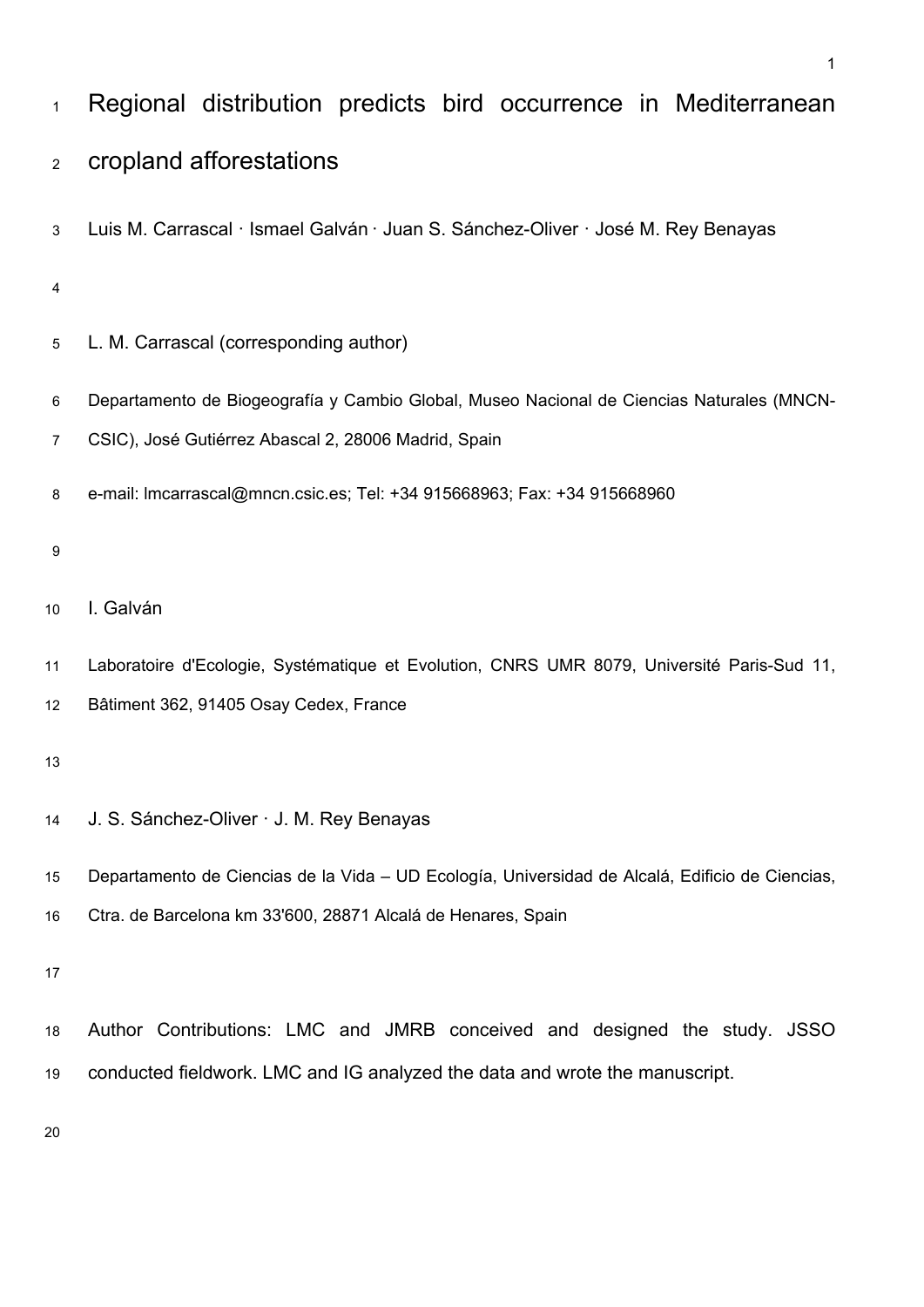| $\mathbf{1}$     | Regional distribution predicts bird occurrence in Mediterranean                                 |  |  |  |  |  |
|------------------|-------------------------------------------------------------------------------------------------|--|--|--|--|--|
| $\overline{2}$   | cropland afforestations                                                                         |  |  |  |  |  |
| $\mathfrak{S}$   | Luis M. Carrascal · Ismael Galván · Juan S. Sánchez-Oliver · José M. Rey Benayas                |  |  |  |  |  |
| 4                |                                                                                                 |  |  |  |  |  |
| $\,$ 5 $\,$      | L. M. Carrascal (corresponding author)                                                          |  |  |  |  |  |
| 6                | Departamento de Biogeografía y Cambio Global, Museo Nacional de Ciencias Naturales (MNCN-       |  |  |  |  |  |
| $\boldsymbol{7}$ | CSIC), José Gutiérrez Abascal 2, 28006 Madrid, Spain                                            |  |  |  |  |  |
| 8                | e-mail: Imcarrascal@mncn.csic.es; Tel: +34 915668963; Fax: +34 915668960                        |  |  |  |  |  |
| 9                |                                                                                                 |  |  |  |  |  |
| 10               | I. Galván                                                                                       |  |  |  |  |  |
| 11               | Laboratoire d'Ecologie, Systématique et Evolution, CNRS UMR 8079, Université Paris-Sud 11,      |  |  |  |  |  |
| 12               | Bâtiment 362, 91405 Osay Cedex, France                                                          |  |  |  |  |  |
| 13               |                                                                                                 |  |  |  |  |  |
| 14               | J. S. Sánchez-Oliver · J. M. Rey Benayas                                                        |  |  |  |  |  |
| 15               | Departamento de Ciencias de la Vida - UD Ecología, Universidad de Alcalá, Edificio de Ciencias, |  |  |  |  |  |
| 16               | Ctra. de Barcelona km 33'600, 28871 Alcalá de Henares, Spain                                    |  |  |  |  |  |
| 17               |                                                                                                 |  |  |  |  |  |
| 18               | Author Contributions: LMC and JMRB conceived and designed the study. JSSO                       |  |  |  |  |  |
| 19               | conducted fieldwork. LMC and IG analyzed the data and wrote the manuscript.                     |  |  |  |  |  |
| 20               |                                                                                                 |  |  |  |  |  |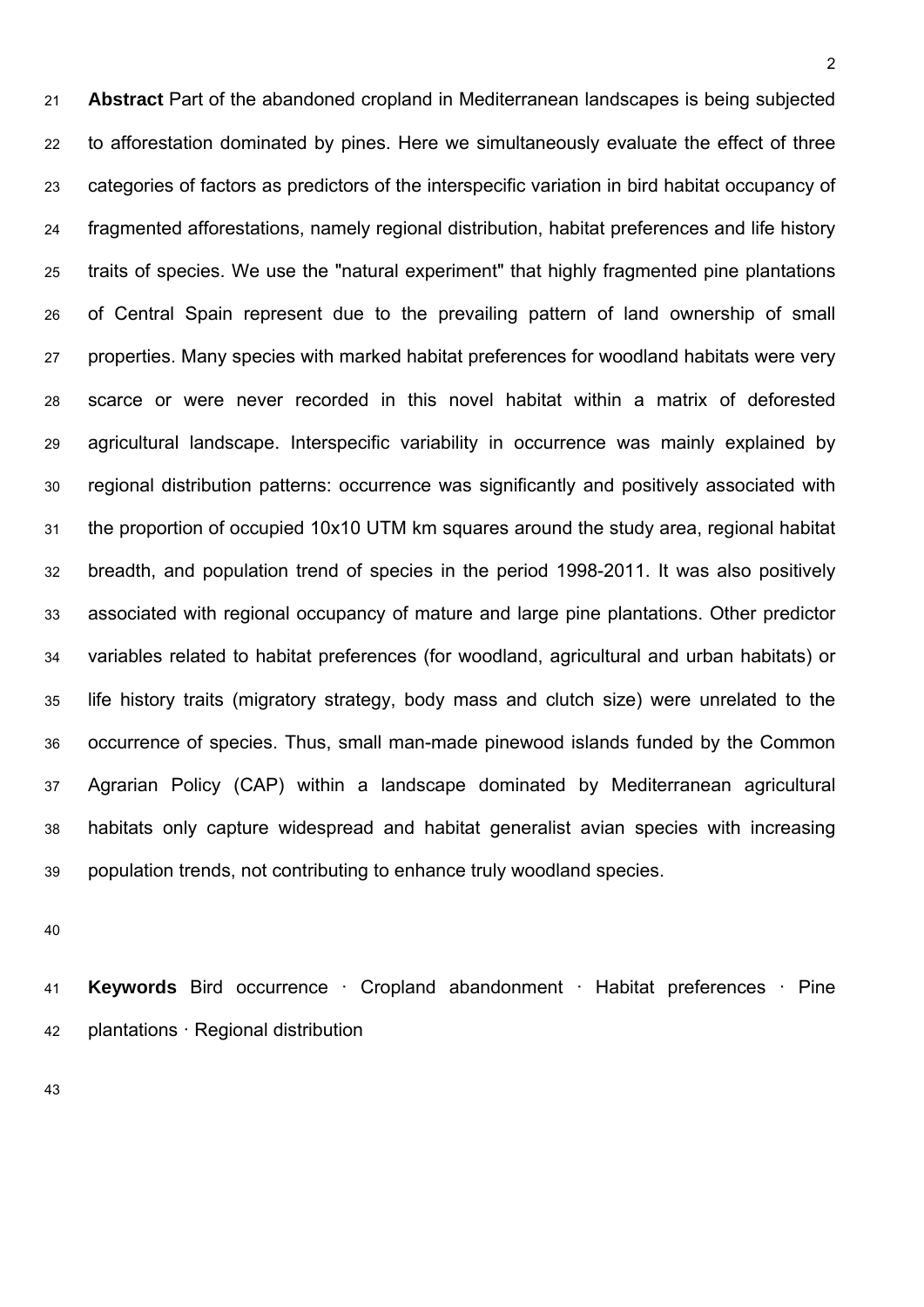21 **Abstract** Part of the abandoned cropland in Mediterranean landscapes is being subjected 22 to afforestation dominated by pines. Here we simultaneously evaluate the effect of three 23 categories of factors as predictors of the interspecific variation in bird habitat occupancy of 24 fragmented afforestations, namely regional distribution, habitat preferences and life history 25 traits of species. We use the "natural experiment" that highly fragmented pine plantations 26 of Central Spain represent due to the prevailing pattern of land ownership of small 27 properties. Many species with marked habitat preferences for woodland habitats were very 28 scarce or were never recorded in this novel habitat within a matrix of deforested 29 agricultural landscape. Interspecific variability in occurrence was mainly explained by 30 regional distribution patterns: occurrence was significantly and positively associated with 31 the proportion of occupied 10x10 UTM km squares around the study area, regional habitat 32 breadth, and population trend of species in the period 1998-2011. It was also positively 33 associated with regional occupancy of mature and large pine plantations. Other predictor 34 variables related to habitat preferences (for woodland, agricultural and urban habitats) or 35 life history traits (migratory strategy, body mass and clutch size) were unrelated to the 36 occurrence of species. Thus, small man-made pinewood islands funded by the Common 37 Agrarian Policy (CAP) within a landscape dominated by Mediterranean agricultural 38 habitats only capture widespread and habitat generalist avian species with increasing 39 population trends, not contributing to enhance truly woodland species.

40

41 **Keywords** Bird occurrence · Cropland abandonment · Habitat preferences · Pine 42 plantations · Regional distribution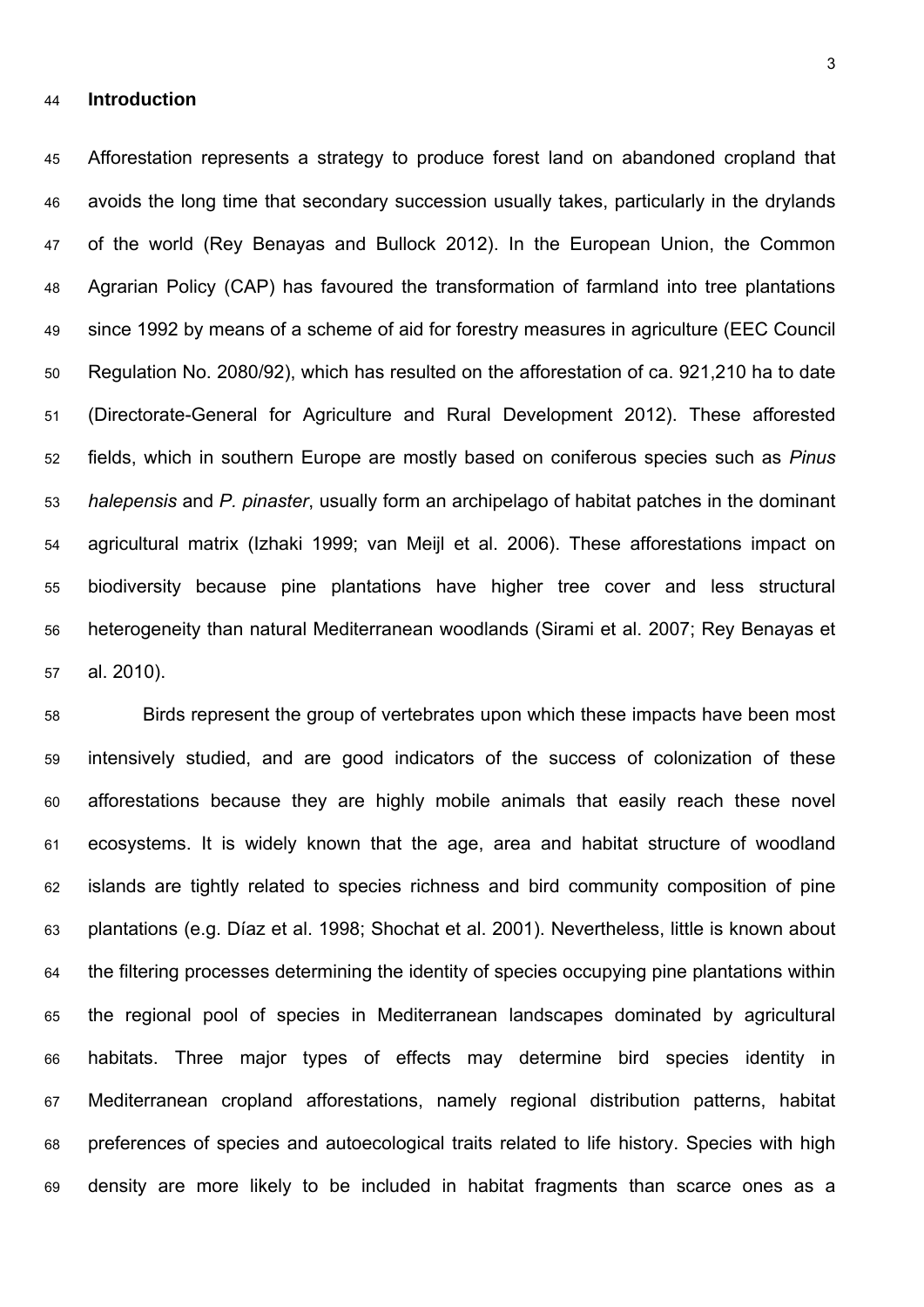#### 44 **Introduction**

45 Afforestation represents a strategy to produce forest land on abandoned cropland that 46 avoids the long time that secondary succession usually takes, particularly in the drylands 47 of the world (Rey Benayas and Bullock 2012). In the European Union, the Common 48 Agrarian Policy (CAP) has favoured the transformation of farmland into tree plantations 49 since 1992 by means of a scheme of aid for forestry measures in agriculture (EEC Council 50 Regulation No. 2080/92), which has resulted on the afforestation of ca. 921,210 ha to date 51 (Directorate-General for Agriculture and Rural Development 2012). These afforested 52 fields, which in southern Europe are mostly based on coniferous species such as *Pinus*  53 *halepensis* and *P. pinaster*, usually form an archipelago of habitat patches in the dominant 54 agricultural matrix (Izhaki 1999; van Meijl et al. 2006). These afforestations impact on 55 biodiversity because pine plantations have higher tree cover and less structural 56 heterogeneity than natural Mediterranean woodlands (Sirami et al. 2007; Rey Benayas et 57 al. 2010).

58 Birds represent the group of vertebrates upon which these impacts have been most 59 intensively studied, and are good indicators of the success of colonization of these 60 afforestations because they are highly mobile animals that easily reach these novel 61 ecosystems. It is widely known that the age, area and habitat structure of woodland 62 islands are tightly related to species richness and bird community composition of pine 63 plantations (e.g. Díaz et al. 1998; Shochat et al. 2001). Nevertheless, little is known about 64 the filtering processes determining the identity of species occupying pine plantations within 65 the regional pool of species in Mediterranean landscapes dominated by agricultural 66 habitats. Three major types of effects may determine bird species identity in 67 Mediterranean cropland afforestations, namely regional distribution patterns, habitat 68 preferences of species and autoecological traits related to life history. Species with high 69 density are more likely to be included in habitat fragments than scarce ones as a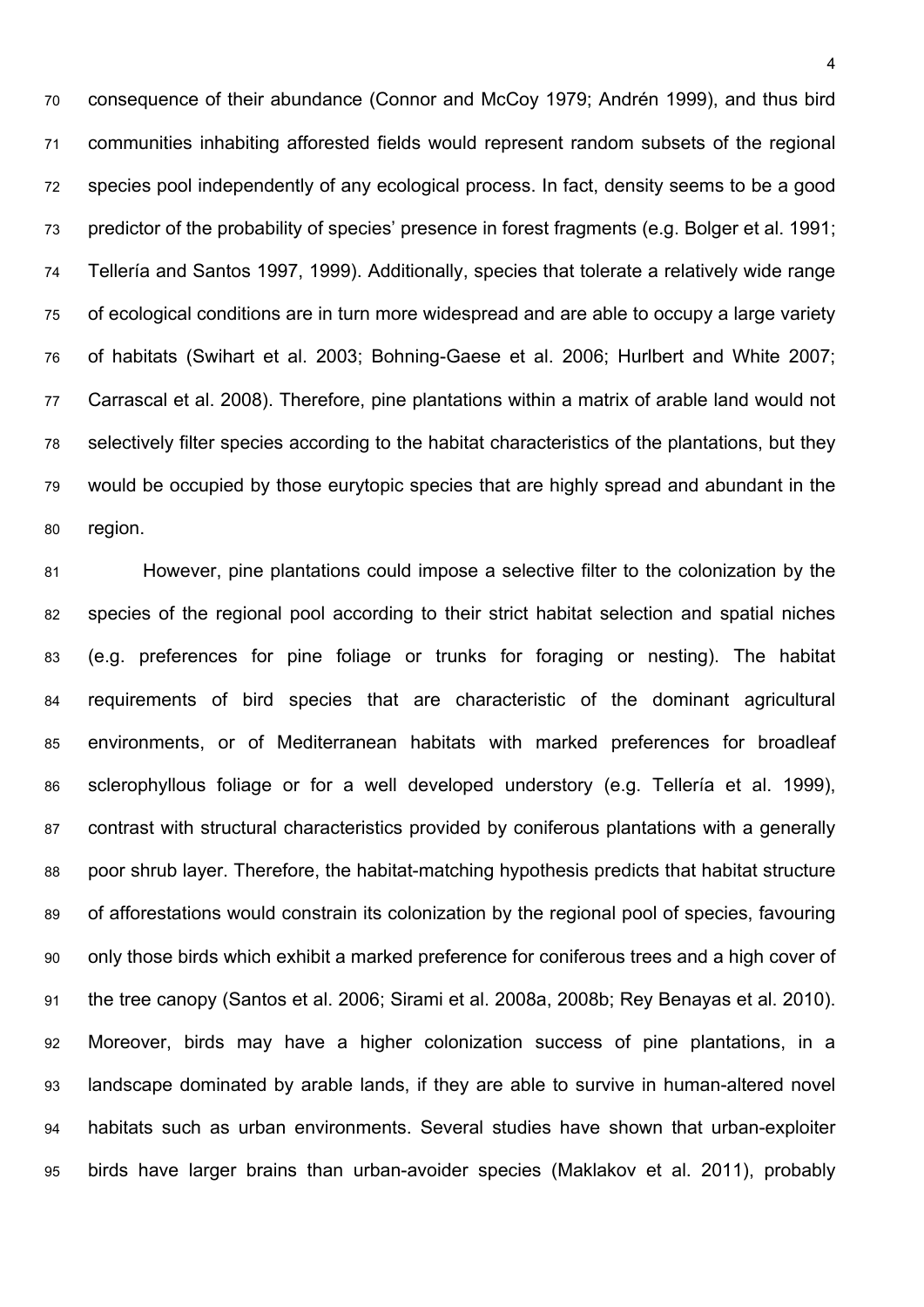70 consequence of their abundance (Connor and McCoy 1979; Andrén 1999), and thus bird 71 communities inhabiting afforested fields would represent random subsets of the regional 72 species pool independently of any ecological process. In fact, density seems to be a good 73 predictor of the probability of species' presence in forest fragments (e.g. Bolger et al. 1991; 74 Tellería and Santos 1997, 1999). Additionally, species that tolerate a relatively wide range 75 of ecological conditions are in turn more widespread and are able to occupy a large variety 76 of habitats (Swihart et al. 2003; Bohning-Gaese et al. 2006; Hurlbert and White 2007; 77 Carrascal et al. 2008). Therefore, pine plantations within a matrix of arable land would not 78 selectively filter species according to the habitat characteristics of the plantations, but they 79 would be occupied by those eurytopic species that are highly spread and abundant in the 80 region.

81 However, pine plantations could impose a selective filter to the colonization by the 82 species of the regional pool according to their strict habitat selection and spatial niches 83 (e.g. preferences for pine foliage or trunks for foraging or nesting). The habitat 84 requirements of bird species that are characteristic of the dominant agricultural 85 environments, or of Mediterranean habitats with marked preferences for broadleaf 86 sclerophyllous foliage or for a well developed understory (e.g. Tellería et al. 1999), 87 contrast with structural characteristics provided by coniferous plantations with a generally 88 poor shrub layer. Therefore, the habitat-matching hypothesis predicts that habitat structure 89 of afforestations would constrain its colonization by the regional pool of species, favouring 90 only those birds which exhibit a marked preference for coniferous trees and a high cover of 91 the tree canopy (Santos et al. 2006; Sirami et al. 2008a, 2008b; Rey Benayas et al. 2010). 92 Moreover, birds may have a higher colonization success of pine plantations, in a 93 landscape dominated by arable lands, if they are able to survive in human-altered novel 94 habitats such as urban environments. Several studies have shown that urban-exploiter 95 birds have larger brains than urban-avoider species (Maklakov et al. 2011), probably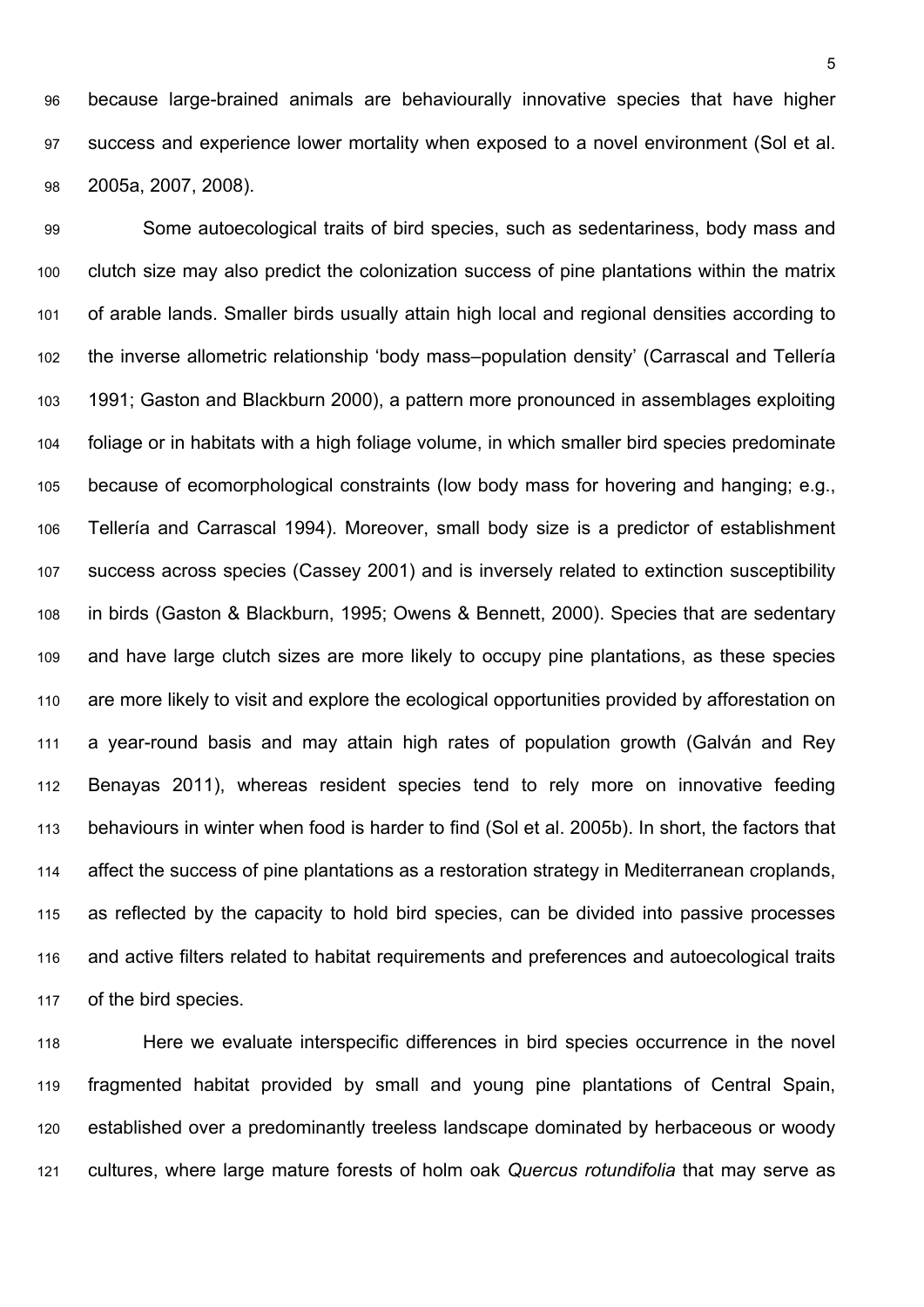96 because large-brained animals are behaviourally innovative species that have higher 97 success and experience lower mortality when exposed to a novel environment (Sol et al. 98 2005a, 2007, 2008).

99 Some autoecological traits of bird species, such as sedentariness, body mass and 100 clutch size may also predict the colonization success of pine plantations within the matrix 101 of arable lands. Smaller birds usually attain high local and regional densities according to 102 the inverse allometric relationship 'body mass–population density' (Carrascal and Tellería 103 1991; Gaston and Blackburn 2000), a pattern more pronounced in assemblages exploiting 104 foliage or in habitats with a high foliage volume, in which smaller bird species predominate 105 because of ecomorphological constraints (low body mass for hovering and hanging; e.g., 106 Tellería and Carrascal 1994). Moreover, small body size is a predictor of establishment 107 success across species (Cassey 2001) and is inversely related to extinction susceptibility 108 in birds (Gaston & Blackburn, 1995; Owens & Bennett, 2000). Species that are sedentary 109 and have large clutch sizes are more likely to occupy pine plantations, as these species 110 are more likely to visit and explore the ecological opportunities provided by afforestation on 111 a year-round basis and may attain high rates of population growth (Galván and Rey 112 Benayas 2011), whereas resident species tend to rely more on innovative feeding 113 behaviours in winter when food is harder to find (Sol et al. 2005b). In short, the factors that 114 affect the success of pine plantations as a restoration strategy in Mediterranean croplands, 115 as reflected by the capacity to hold bird species, can be divided into passive processes 116 and active filters related to habitat requirements and preferences and autoecological traits 117 of the bird species.

118 Here we evaluate interspecific differences in bird species occurrence in the novel 119 fragmented habitat provided by small and young pine plantations of Central Spain, 120 established over a predominantly treeless landscape dominated by herbaceous or woody 121 cultures, where large mature forests of holm oak *Quercus rotundifolia* that may serve as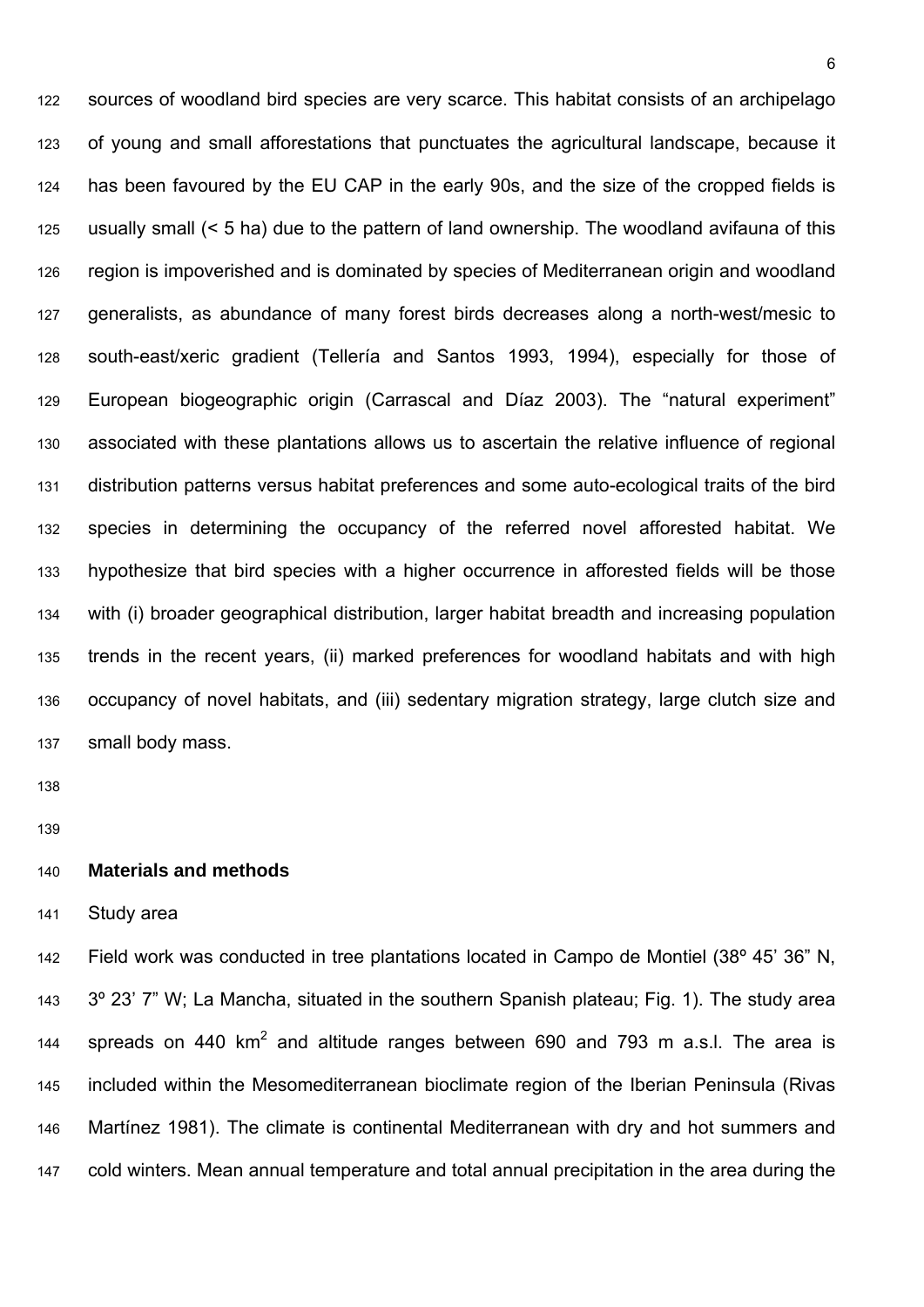122 sources of woodland bird species are very scarce. This habitat consists of an archipelago 123 of young and small afforestations that punctuates the agricultural landscape, because it 124 has been favoured by the EU CAP in the early 90s, and the size of the cropped fields is 125 usually small (< 5 ha) due to the pattern of land ownership. The woodland avifauna of this 126 region is impoverished and is dominated by species of Mediterranean origin and woodland 127 generalists, as abundance of many forest birds decreases along a north-west/mesic to 128 south-east/xeric gradient (Tellería and Santos 1993, 1994), especially for those of 129 European biogeographic origin (Carrascal and Díaz 2003). The "natural experiment" 130 associated with these plantations allows us to ascertain the relative influence of regional 131 distribution patterns versus habitat preferences and some auto-ecological traits of the bird 132 species in determining the occupancy of the referred novel afforested habitat. We 133 hypothesize that bird species with a higher occurrence in afforested fields will be those 134 with (i) broader geographical distribution, larger habitat breadth and increasing population 135 trends in the recent years, (ii) marked preferences for woodland habitats and with high 136 occupancy of novel habitats, and (iii) sedentary migration strategy, large clutch size and 137 small body mass.

138

139

### 140 **Materials and methods**

141 Study area

142 Field work was conducted in tree plantations located in Campo de Montiel (38º 45' 36" N, 143 3º 23' 7" W; La Mancha, situated in the southern Spanish plateau; Fig. 1). The study area 144 spreads on 440  $km^2$  and altitude ranges between 690 and 793 m a.s.l. The area is 145 included within the Mesomediterranean bioclimate region of the Iberian Peninsula (Rivas 146 Martínez 1981). The climate is continental Mediterranean with dry and hot summers and 147 cold winters. Mean annual temperature and total annual precipitation in the area during the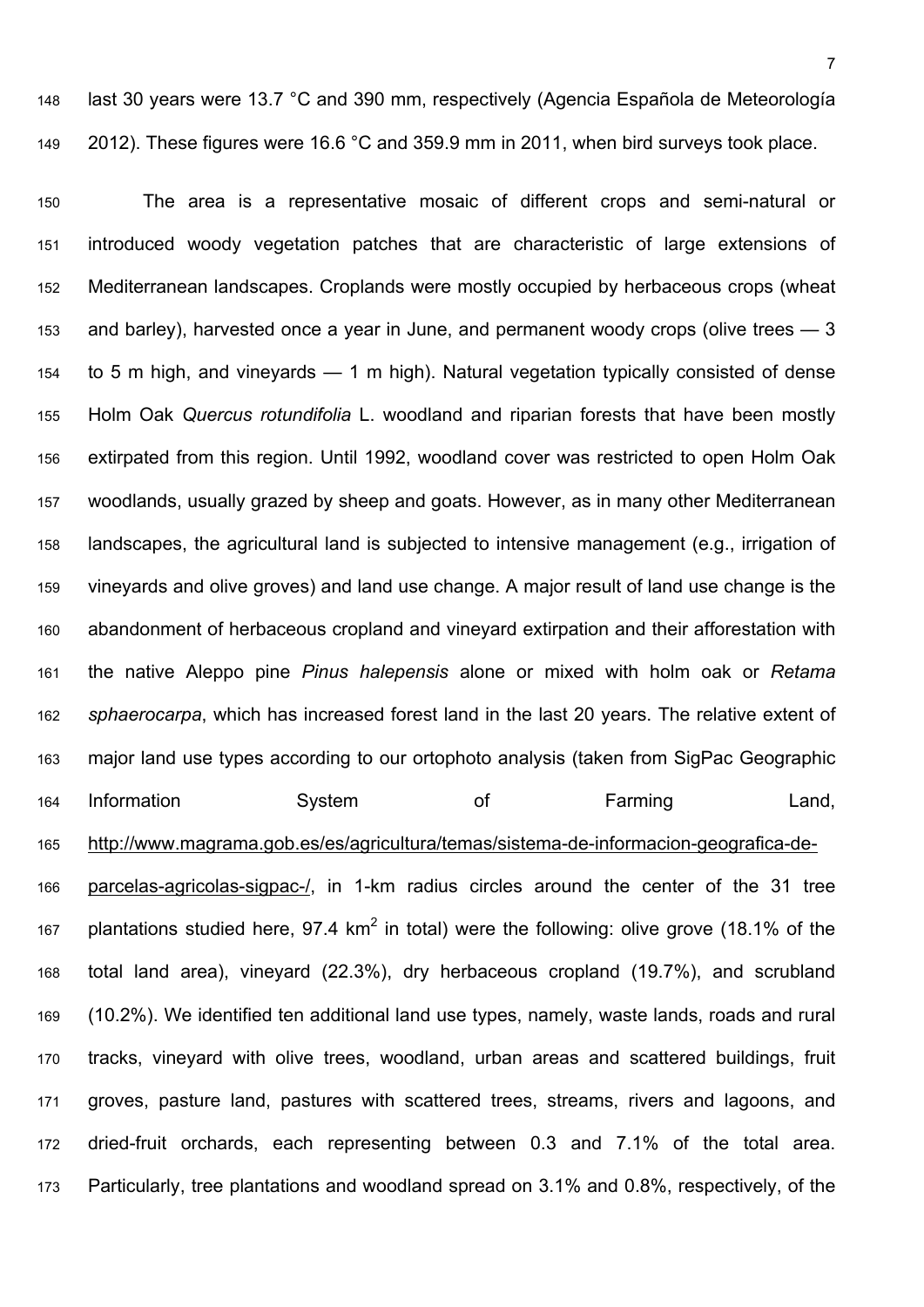148 last 30 years were 13.7 °C and 390 mm, respectively (Agencia Española de Meteorología 149 2012). These figures were 16.6 °C and 359.9 mm in 2011, when bird surveys took place.

150 The area is a representative mosaic of different crops and semi-natural or 151 introduced woody vegetation patches that are characteristic of large extensions of 152 Mediterranean landscapes. Croplands were mostly occupied by herbaceous crops (wheat 153 and barley), harvested once a year in June, and permanent woody crops (olive trees — 3 154 to 5 m high, and vineyards — 1 m high). Natural vegetation typically consisted of dense 155 Holm Oak *Quercus rotundifolia* L. woodland and riparian forests that have been mostly 156 extirpated from this region. Until 1992, woodland cover was restricted to open Holm Oak 157 woodlands, usually grazed by sheep and goats. However, as in many other Mediterranean 158 landscapes, the agricultural land is subjected to intensive management (e.g., irrigation of 159 vineyards and olive groves) and land use change. A major result of land use change is the 160 abandonment of herbaceous cropland and vineyard extirpation and their afforestation with 161 the native Aleppo pine *Pinus halepensis* alone or mixed with holm oak or *Retama*  162 *sphaerocarpa*, which has increased forest land in the last 20 years. The relative extent of 163 major land use types according to our ortophoto analysis (taken from SigPac Geographic 164 Information System of Farming Land, 165 http://www.magrama.gob.es/es/agricultura/temas/sistema-de-informacion-geografica-de-166 parcelas-agricolas-sigpac-/, in 1-km radius circles around the center of the 31 tree 167 plantations studied here, 97.4  $km^2$  in total) were the following: olive grove (18.1% of the 168 total land area), vineyard (22.3%), dry herbaceous cropland (19.7%), and scrubland 169 (10.2%). We identified ten additional land use types, namely, waste lands, roads and rural 170 tracks, vineyard with olive trees, woodland, urban areas and scattered buildings, fruit 171 groves, pasture land, pastures with scattered trees, streams, rivers and lagoons, and 172 dried-fruit orchards, each representing between 0.3 and 7.1% of the total area. 173 Particularly, tree plantations and woodland spread on 3.1% and 0.8%, respectively, of the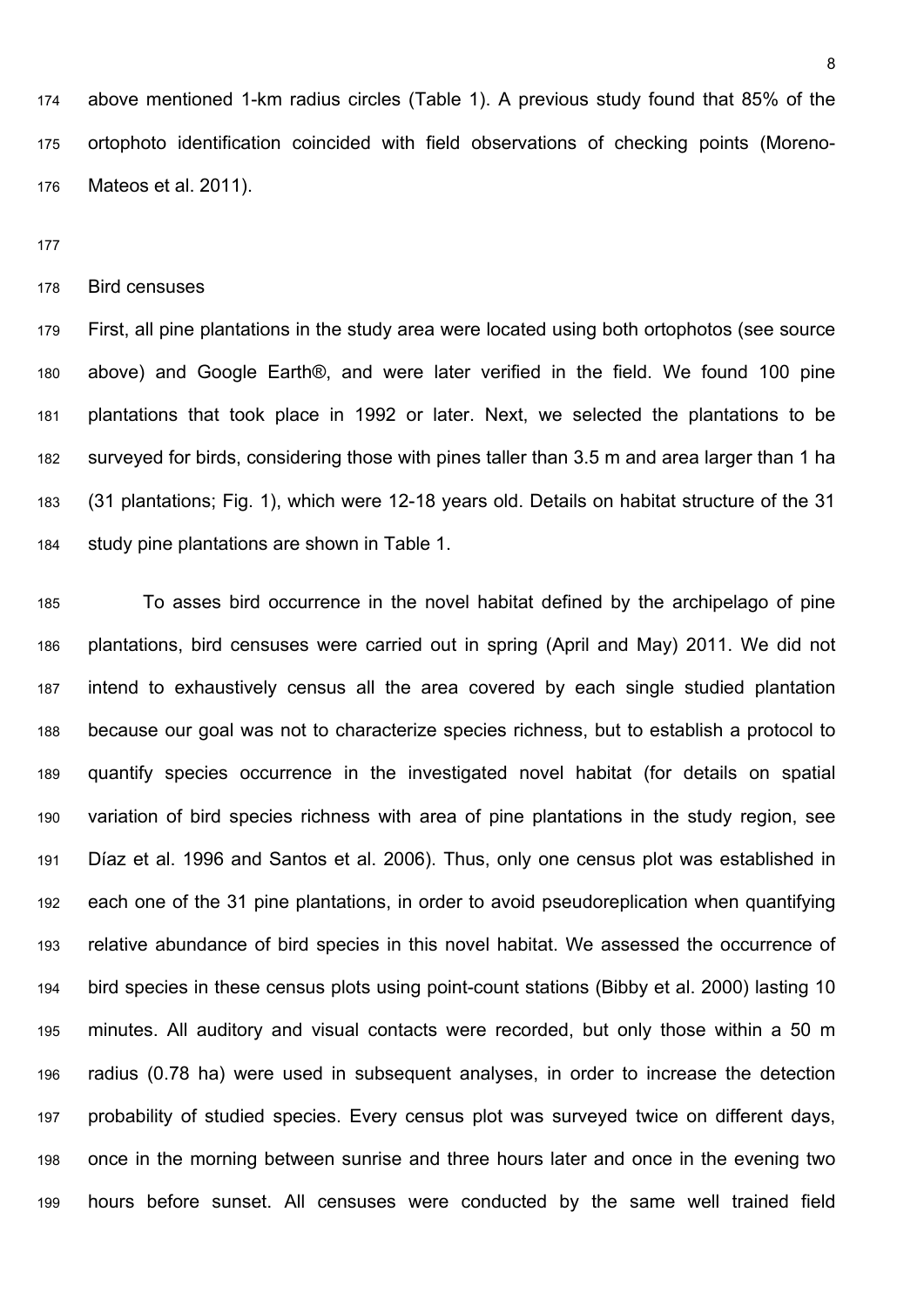174 above mentioned 1-km radius circles (Table 1). A previous study found that 85% of the 175 ortophoto identification coincided with field observations of checking points (Moreno-176 Mateos et al. 2011).

177

### 178 Bird censuses

179 First, all pine plantations in the study area were located using both ortophotos (see source 180 above) and Google Earth®, and were later verified in the field. We found 100 pine 181 plantations that took place in 1992 or later. Next, we selected the plantations to be 182 surveyed for birds, considering those with pines taller than 3.5 m and area larger than 1 ha 183 (31 plantations; Fig. 1), which were 12-18 years old. Details on habitat structure of the 31 184 study pine plantations are shown in Table 1.

185 To asses bird occurrence in the novel habitat defined by the archipelago of pine 186 plantations, bird censuses were carried out in spring (April and May) 2011. We did not 187 intend to exhaustively census all the area covered by each single studied plantation 188 because our goal was not to characterize species richness, but to establish a protocol to 189 quantify species occurrence in the investigated novel habitat (for details on spatial 190 variation of bird species richness with area of pine plantations in the study region, see 191 Díaz et al. 1996 and Santos et al. 2006). Thus, only one census plot was established in 192 each one of the 31 pine plantations, in order to avoid pseudoreplication when quantifying 193 relative abundance of bird species in this novel habitat. We assessed the occurrence of 194 bird species in these census plots using point-count stations (Bibby et al. 2000) lasting 10 195 minutes. All auditory and visual contacts were recorded, but only those within a 50 m 196 radius (0.78 ha) were used in subsequent analyses, in order to increase the detection 197 probability of studied species. Every census plot was surveyed twice on different days, 198 once in the morning between sunrise and three hours later and once in the evening two 199 hours before sunset. All censuses were conducted by the same well trained field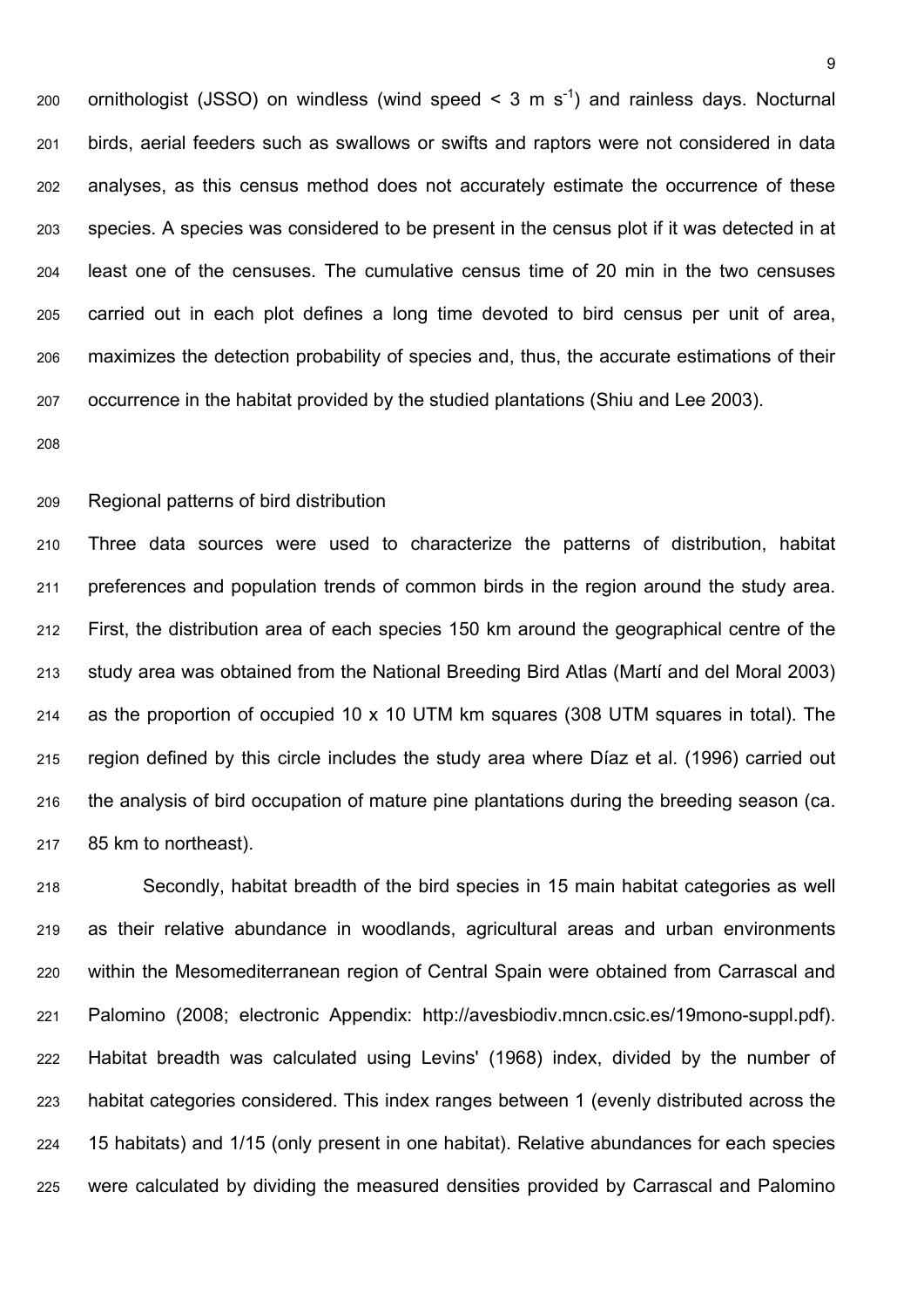200 ornithologist (JSSO) on windless (wind speed  $\leq$  3 m s<sup>-1</sup>) and rainless days. Nocturnal 201 birds, aerial feeders such as swallows or swifts and raptors were not considered in data 202 analyses, as this census method does not accurately estimate the occurrence of these 203 species. A species was considered to be present in the census plot if it was detected in at 204 least one of the censuses. The cumulative census time of 20 min in the two censuses 205 carried out in each plot defines a long time devoted to bird census per unit of area, 206 maximizes the detection probability of species and, thus, the accurate estimations of their 207 occurrence in the habitat provided by the studied plantations (Shiu and Lee 2003).

208

# 209 Regional patterns of bird distribution

210 Three data sources were used to characterize the patterns of distribution, habitat 211 preferences and population trends of common birds in the region around the study area. 212 First, the distribution area of each species 150 km around the geographical centre of the 213 study area was obtained from the National Breeding Bird Atlas (Martí and del Moral 2003) 214 as the proportion of occupied 10 x 10 UTM km squares (308 UTM squares in total). The 215 region defined by this circle includes the study area where Díaz et al. (1996) carried out 216 the analysis of bird occupation of mature pine plantations during the breeding season (ca. 217 85 km to northeast).

218 Secondly, habitat breadth of the bird species in 15 main habitat categories as well 219 as their relative abundance in woodlands, agricultural areas and urban environments 220 within the Mesomediterranean region of Central Spain were obtained from Carrascal and 221 Palomino (2008; electronic Appendix: http://avesbiodiv.mncn.csic.es/19mono-suppl.pdf). 222 Habitat breadth was calculated using Levins' (1968) index, divided by the number of 223 habitat categories considered. This index ranges between 1 (evenly distributed across the 224 15 habitats) and 1/15 (only present in one habitat). Relative abundances for each species 225 were calculated by dividing the measured densities provided by Carrascal and Palomino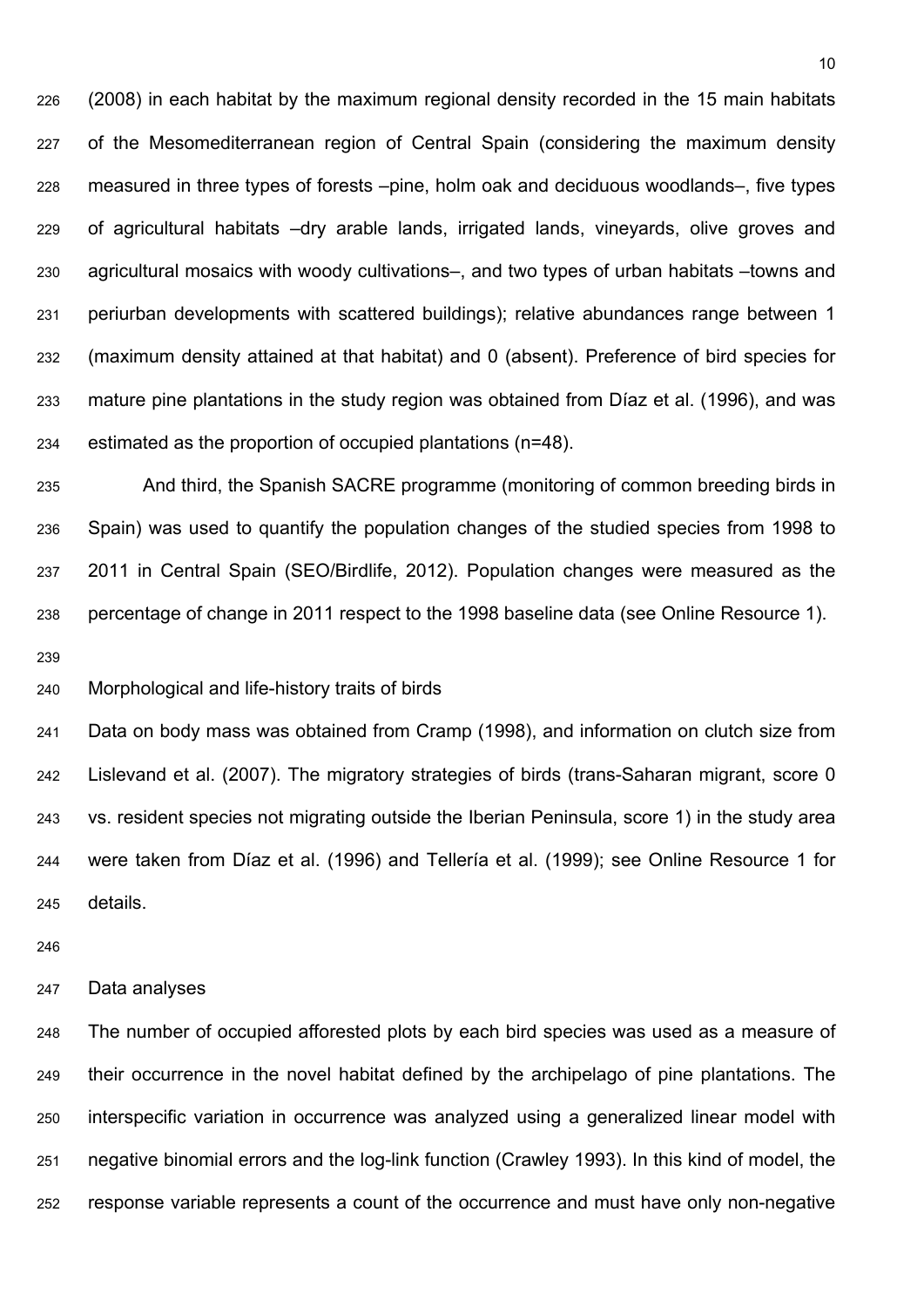226 (2008) in each habitat by the maximum regional density recorded in the 15 main habitats 227 of the Mesomediterranean region of Central Spain (considering the maximum density 228 measured in three types of forests –pine, holm oak and deciduous woodlands–, five types 229 of agricultural habitats –dry arable lands, irrigated lands, vineyards, olive groves and 230 agricultural mosaics with woody cultivations–, and two types of urban habitats –towns and 231 periurban developments with scattered buildings); relative abundances range between 1 232 (maximum density attained at that habitat) and 0 (absent). Preference of bird species for 233 mature pine plantations in the study region was obtained from Díaz et al. (1996), and was 234 estimated as the proportion of occupied plantations (n=48).

235 And third, the Spanish SACRE programme (monitoring of common breeding birds in 236 Spain) was used to quantify the population changes of the studied species from 1998 to 237 2011 in Central Spain (SEO/Birdlife, 2012). Population changes were measured as the 238 percentage of change in 2011 respect to the 1998 baseline data (see Online Resource 1).

239

240 Morphological and life-history traits of birds

241 Data on body mass was obtained from Cramp (1998), and information on clutch size from 242 Lislevand et al. (2007). The migratory strategies of birds (trans-Saharan migrant, score 0 243 vs. resident species not migrating outside the Iberian Peninsula, score 1) in the study area 244 were taken from Díaz et al. (1996) and Tellería et al. (1999); see Online Resource 1 for 245 details.

246

# 247 Data analyses

248 The number of occupied afforested plots by each bird species was used as a measure of 249 their occurrence in the novel habitat defined by the archipelago of pine plantations. The 250 interspecific variation in occurrence was analyzed using a generalized linear model with 251 negative binomial errors and the log-link function (Crawley 1993). In this kind of model, the 252 response variable represents a count of the occurrence and must have only non-negative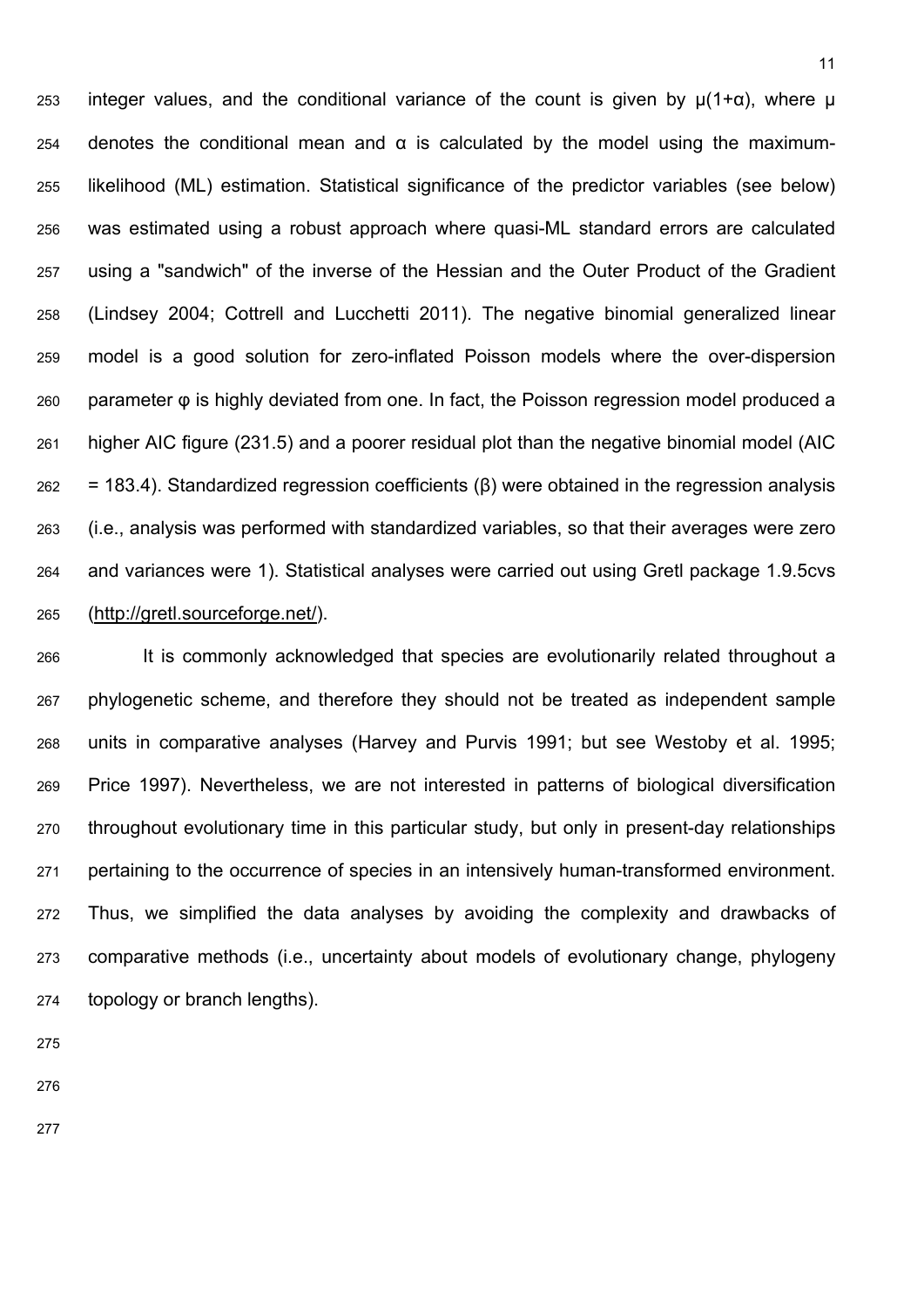253 integer values, and the conditional variance of the count is given by  $\mu(1+\alpha)$ , where  $\mu$ 254 denotes the conditional mean and  $\alpha$  is calculated by the model using the maximum-255 likelihood (ML) estimation. Statistical significance of the predictor variables (see below) 256 was estimated using a robust approach where quasi-ML standard errors are calculated 257 using a "sandwich" of the inverse of the Hessian and the Outer Product of the Gradient 258 (Lindsey 2004; Cottrell and Lucchetti 2011). The negative binomial generalized linear 259 model is a good solution for zero-inflated Poisson models where the over-dispersion 260 parameter φ is highly deviated from one. In fact, the Poisson regression model produced a 261 higher AIC figure (231.5) and a poorer residual plot than the negative binomial model (AIC  $262 = 183.4$ ). Standardized regression coefficients ( $\beta$ ) were obtained in the regression analysis 263 (i.e., analysis was performed with standardized variables, so that their averages were zero 264 and variances were 1). Statistical analyses were carried out using Gretl package 1.9.5cvs 265 (http://gretl.sourceforge.net/).

266 It is commonly acknowledged that species are evolutionarily related throughout a 267 phylogenetic scheme, and therefore they should not be treated as independent sample 268 units in comparative analyses (Harvey and Purvis 1991; but see Westoby et al. 1995; 269 Price 1997). Nevertheless, we are not interested in patterns of biological diversification 270 throughout evolutionary time in this particular study, but only in present-day relationships 271 pertaining to the occurrence of species in an intensively human-transformed environment. 272 Thus, we simplified the data analyses by avoiding the complexity and drawbacks of 273 comparative methods (i.e., uncertainty about models of evolutionary change, phylogeny 274 topology or branch lengths).

- 275
- 277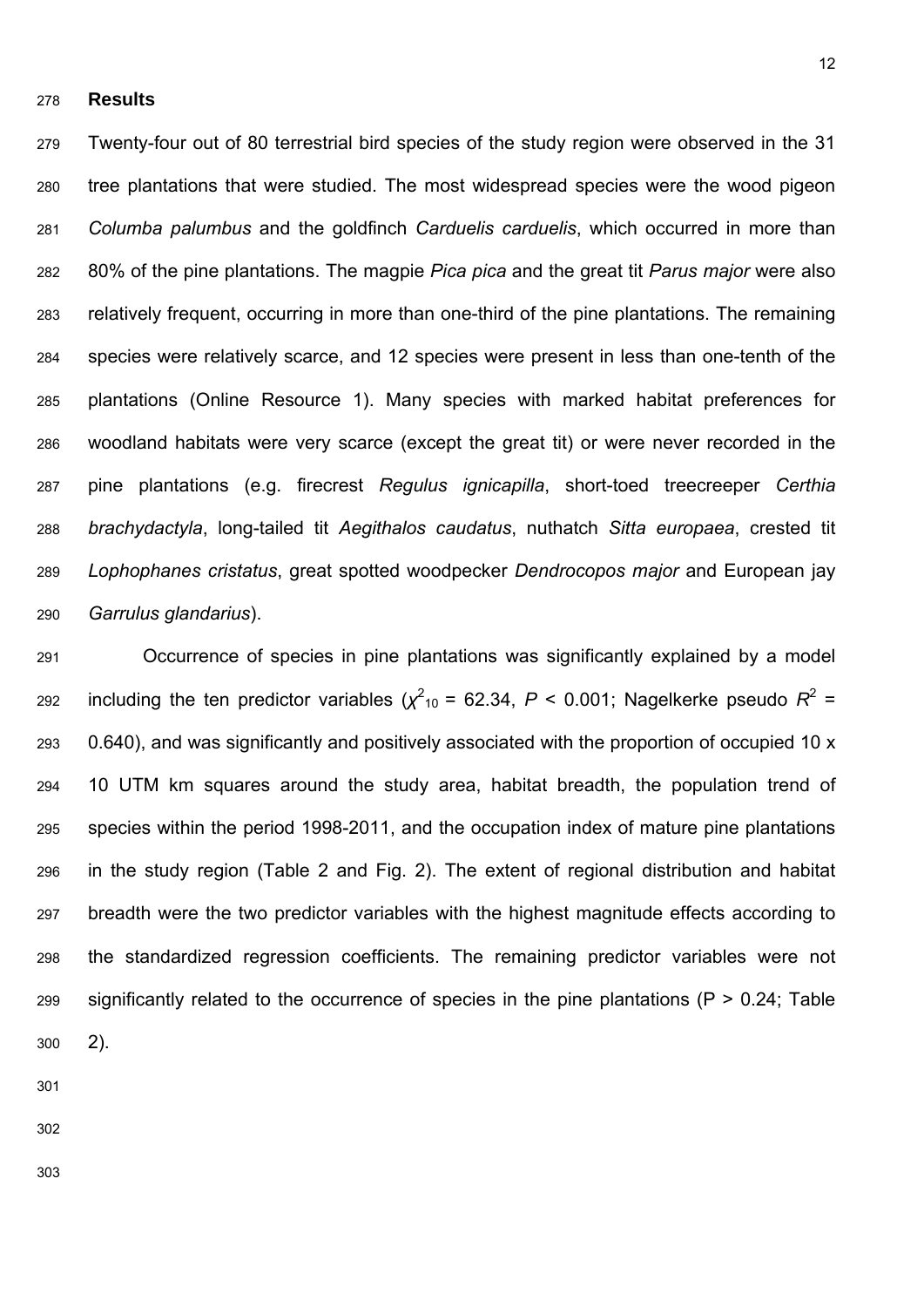### 278 **Results**

279 Twenty-four out of 80 terrestrial bird species of the study region were observed in the 31 280 tree plantations that were studied. The most widespread species were the wood pigeon 281 *Columba palumbus* and the goldfinch *Carduelis carduelis*, which occurred in more than 282 80% of the pine plantations. The magpie *Pica pica* and the great tit *Parus major* were also 283 relatively frequent, occurring in more than one-third of the pine plantations. The remaining 284 species were relatively scarce, and 12 species were present in less than one-tenth of the 285 plantations (Online Resource 1). Many species with marked habitat preferences for 286 woodland habitats were very scarce (except the great tit) or were never recorded in the 287 pine plantations (e.g. firecrest *Regulus ignicapilla*, short-toed treecreeper *Certhia*  288 *brachydactyla*, long-tailed tit *Aegithalos caudatus*, nuthatch *Sitta europaea*, crested tit 289 *Lophophanes cristatus*, great spotted woodpecker *Dendrocopos major* and European jay 290 *Garrulus glandarius*).

291 Occurrence of species in pine plantations was significantly explained by a model 292 including the ten predictor variables  $(\chi^2_{10} = 62.34, P < 0.001;$  Nagelkerke pseudo  $R^2 =$ 293 0.640), and was significantly and positively associated with the proportion of occupied 10 x 294 10 UTM km squares around the study area, habitat breadth, the population trend of 295 species within the period 1998-2011, and the occupation index of mature pine plantations 296 in the study region (Table 2 and Fig. 2). The extent of regional distribution and habitat 297 breadth were the two predictor variables with the highest magnitude effects according to 298 the standardized regression coefficients. The remaining predictor variables were not 299 significantly related to the occurrence of species in the pine plantations ( $P > 0.24$ ; Table 300 2).

301

302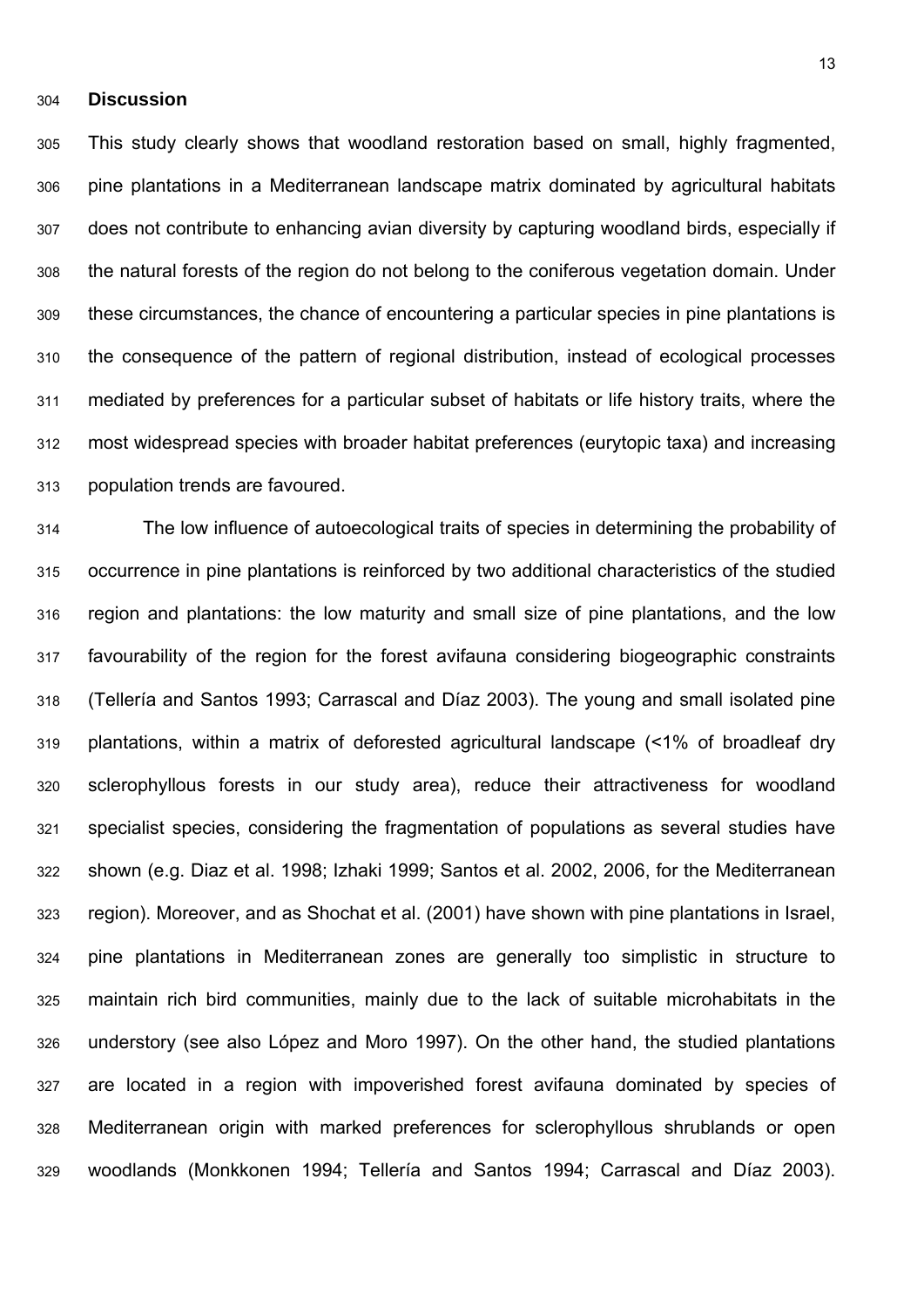### 304 **Discussion**

305 This study clearly shows that woodland restoration based on small, highly fragmented, 306 pine plantations in a Mediterranean landscape matrix dominated by agricultural habitats 307 does not contribute to enhancing avian diversity by capturing woodland birds, especially if 308 the natural forests of the region do not belong to the coniferous vegetation domain. Under 309 these circumstances, the chance of encountering a particular species in pine plantations is 310 the consequence of the pattern of regional distribution, instead of ecological processes 311 mediated by preferences for a particular subset of habitats or life history traits, where the 312 most widespread species with broader habitat preferences (eurytopic taxa) and increasing 313 population trends are favoured.

314 The low influence of autoecological traits of species in determining the probability of 315 occurrence in pine plantations is reinforced by two additional characteristics of the studied 316 region and plantations: the low maturity and small size of pine plantations, and the low 317 favourability of the region for the forest avifauna considering biogeographic constraints 318 (Tellería and Santos 1993; Carrascal and Díaz 2003). The young and small isolated pine 319 plantations, within a matrix of deforested agricultural landscape (<1% of broadleaf dry 320 sclerophyllous forests in our study area), reduce their attractiveness for woodland 321 specialist species, considering the fragmentation of populations as several studies have 322 shown (e.g. Diaz et al. 1998; Izhaki 1999; Santos et al. 2002, 2006, for the Mediterranean 323 region). Moreover, and as Shochat et al. (2001) have shown with pine plantations in Israel, 324 pine plantations in Mediterranean zones are generally too simplistic in structure to 325 maintain rich bird communities, mainly due to the lack of suitable microhabitats in the 326 understory (see also López and Moro 1997). On the other hand, the studied plantations 327 are located in a region with impoverished forest avifauna dominated by species of 328 Mediterranean origin with marked preferences for sclerophyllous shrublands or open 329 woodlands (Monkkonen 1994; Tellería and Santos 1994; Carrascal and Díaz 2003).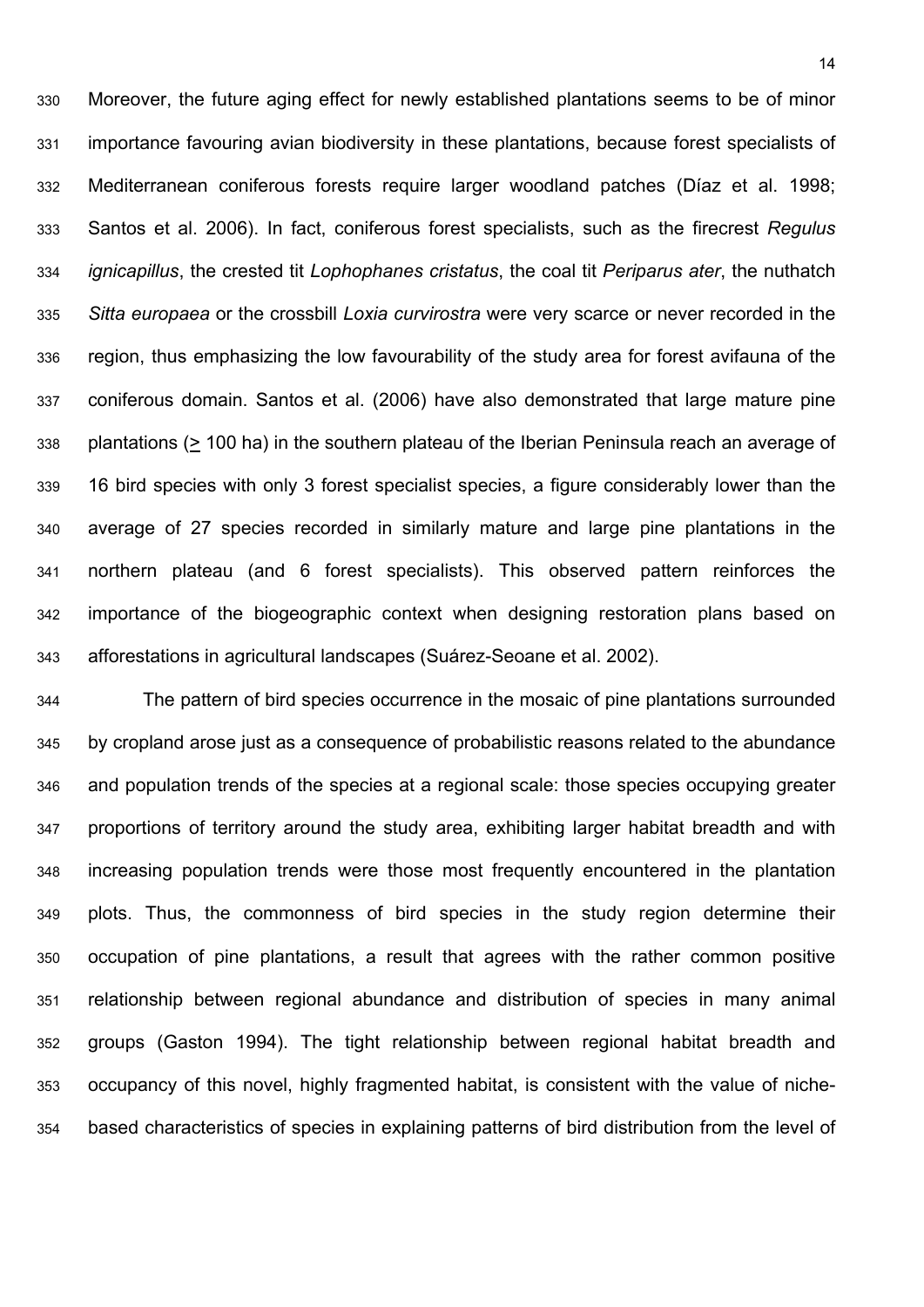330 Moreover, the future aging effect for newly established plantations seems to be of minor 331 importance favouring avian biodiversity in these plantations, because forest specialists of 332 Mediterranean coniferous forests require larger woodland patches (Díaz et al. 1998; 333 Santos et al. 2006). In fact, coniferous forest specialists, such as the firecrest *Regulus*  334 *ignicapillus*, the crested tit *Lophophanes cristatus*, the coal tit *Periparus ater*, the nuthatch 335 *Sitta europaea* or the crossbill *Loxia curvirostra* were very scarce or never recorded in the 336 region, thus emphasizing the low favourability of the study area for forest avifauna of the 337 coniferous domain. Santos et al. (2006) have also demonstrated that large mature pine 338 plantations (> 100 ha) in the southern plateau of the Iberian Peninsula reach an average of 339 16 bird species with only 3 forest specialist species, a figure considerably lower than the 340 average of 27 species recorded in similarly mature and large pine plantations in the 341 northern plateau (and 6 forest specialists). This observed pattern reinforces the 342 importance of the biogeographic context when designing restoration plans based on 343 afforestations in agricultural landscapes (Suárez-Seoane et al. 2002).

344 The pattern of bird species occurrence in the mosaic of pine plantations surrounded 345 by cropland arose just as a consequence of probabilistic reasons related to the abundance 346 and population trends of the species at a regional scale: those species occupying greater 347 proportions of territory around the study area, exhibiting larger habitat breadth and with 348 increasing population trends were those most frequently encountered in the plantation 349 plots. Thus, the commonness of bird species in the study region determine their 350 occupation of pine plantations, a result that agrees with the rather common positive 351 relationship between regional abundance and distribution of species in many animal 352 groups (Gaston 1994). The tight relationship between regional habitat breadth and 353 occupancy of this novel, highly fragmented habitat, is consistent with the value of niche-354 based characteristics of species in explaining patterns of bird distribution from the level of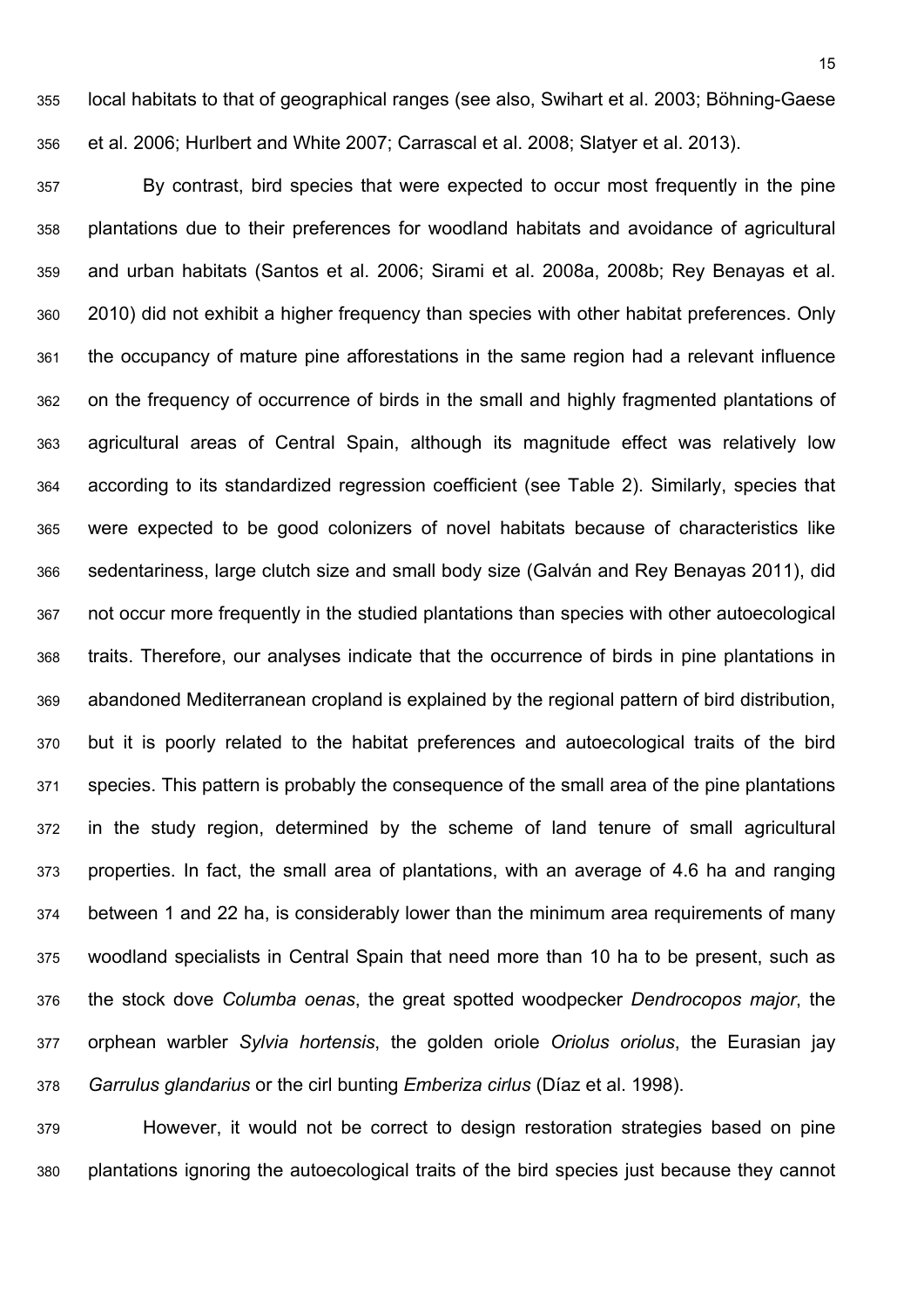355 local habitats to that of geographical ranges (see also, Swihart et al. 2003; Böhning-Gaese 356 et al. 2006; Hurlbert and White 2007; Carrascal et al. 2008; Slatyer et al. 2013).

357 By contrast, bird species that were expected to occur most frequently in the pine 358 plantations due to their preferences for woodland habitats and avoidance of agricultural 359 and urban habitats (Santos et al. 2006; Sirami et al. 2008a, 2008b; Rey Benayas et al. 360 2010) did not exhibit a higher frequency than species with other habitat preferences. Only 361 the occupancy of mature pine afforestations in the same region had a relevant influence 362 on the frequency of occurrence of birds in the small and highly fragmented plantations of 363 agricultural areas of Central Spain, although its magnitude effect was relatively low 364 according to its standardized regression coefficient (see Table 2). Similarly, species that 365 were expected to be good colonizers of novel habitats because of characteristics like 366 sedentariness, large clutch size and small body size (Galván and Rey Benayas 2011), did 367 not occur more frequently in the studied plantations than species with other autoecological 368 traits. Therefore, our analyses indicate that the occurrence of birds in pine plantations in 369 abandoned Mediterranean cropland is explained by the regional pattern of bird distribution, 370 but it is poorly related to the habitat preferences and autoecological traits of the bird 371 species. This pattern is probably the consequence of the small area of the pine plantations 372 in the study region, determined by the scheme of land tenure of small agricultural 373 properties. In fact, the small area of plantations, with an average of 4.6 ha and ranging 374 between 1 and 22 ha, is considerably lower than the minimum area requirements of many 375 woodland specialists in Central Spain that need more than 10 ha to be present, such as 376 the stock dove *Columba oenas*, the great spotted woodpecker *Dendrocopos major*, the 377 orphean warbler *Sylvia hortensis*, the golden oriole *Oriolus oriolus*, the Eurasian jay 378 *Garrulus glandarius* or the cirl bunting *Emberiza cirlus* (Díaz et al. 1998).

379 However, it would not be correct to design restoration strategies based on pine 380 plantations ignoring the autoecological traits of the bird species just because they cannot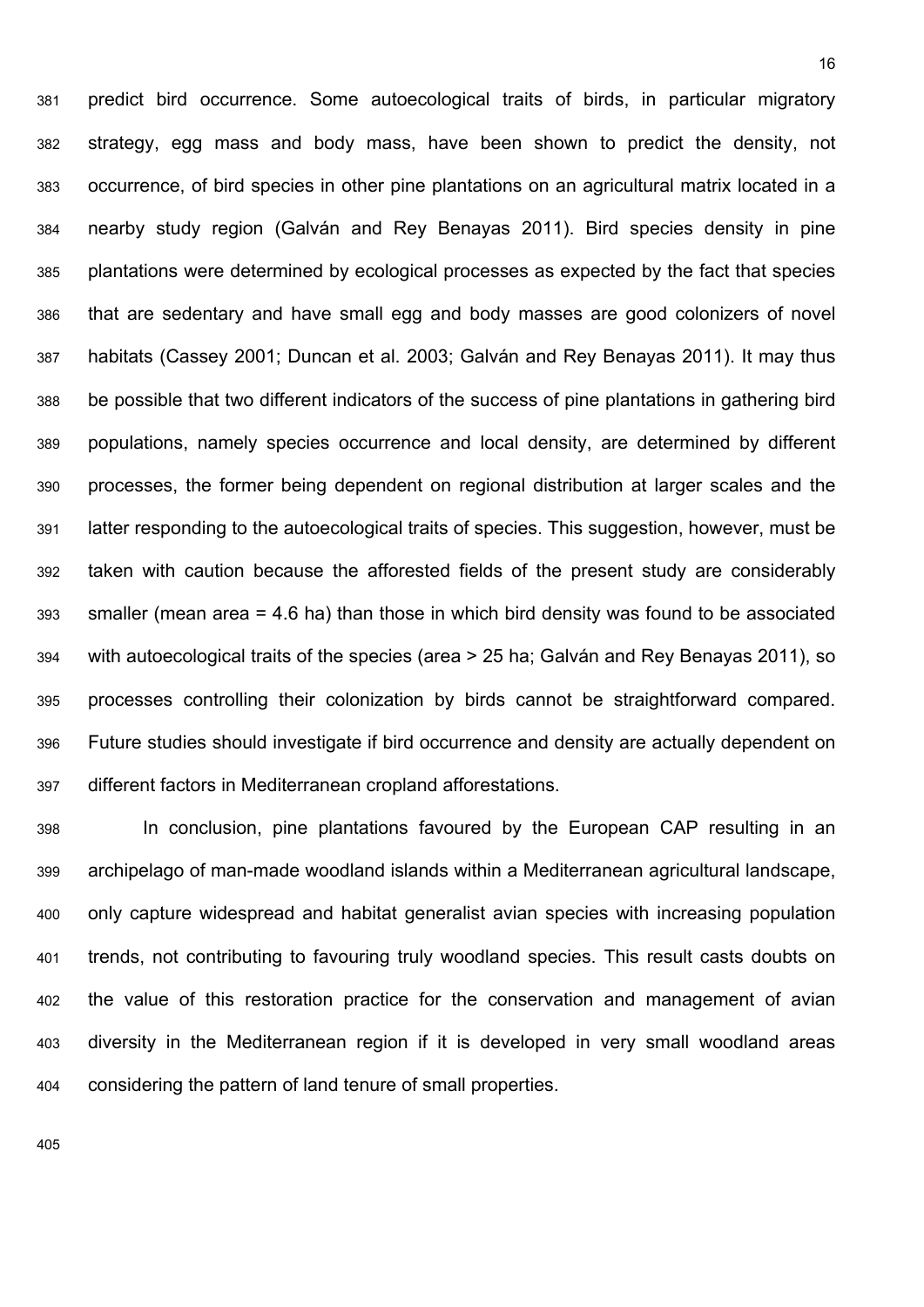381 predict bird occurrence. Some autoecological traits of birds, in particular migratory 382 strategy, egg mass and body mass, have been shown to predict the density, not 383 occurrence, of bird species in other pine plantations on an agricultural matrix located in a 384 nearby study region (Galván and Rey Benayas 2011). Bird species density in pine 385 plantations were determined by ecological processes as expected by the fact that species 386 that are sedentary and have small egg and body masses are good colonizers of novel 387 habitats (Cassey 2001; Duncan et al. 2003; Galván and Rey Benayas 2011). It may thus 388 be possible that two different indicators of the success of pine plantations in gathering bird 389 populations, namely species occurrence and local density, are determined by different 390 processes, the former being dependent on regional distribution at larger scales and the 391 latter responding to the autoecological traits of species. This suggestion, however, must be 392 taken with caution because the afforested fields of the present study are considerably 393 smaller (mean area = 4.6 ha) than those in which bird density was found to be associated 394 with autoecological traits of the species (area > 25 ha; Galván and Rey Benayas 2011), so 395 processes controlling their colonization by birds cannot be straightforward compared. 396 Future studies should investigate if bird occurrence and density are actually dependent on 397 different factors in Mediterranean cropland afforestations.

398 In conclusion, pine plantations favoured by the European CAP resulting in an 399 archipelago of man-made woodland islands within a Mediterranean agricultural landscape, 400 only capture widespread and habitat generalist avian species with increasing population 401 trends, not contributing to favouring truly woodland species. This result casts doubts on 402 the value of this restoration practice for the conservation and management of avian 403 diversity in the Mediterranean region if it is developed in very small woodland areas 404 considering the pattern of land tenure of small properties.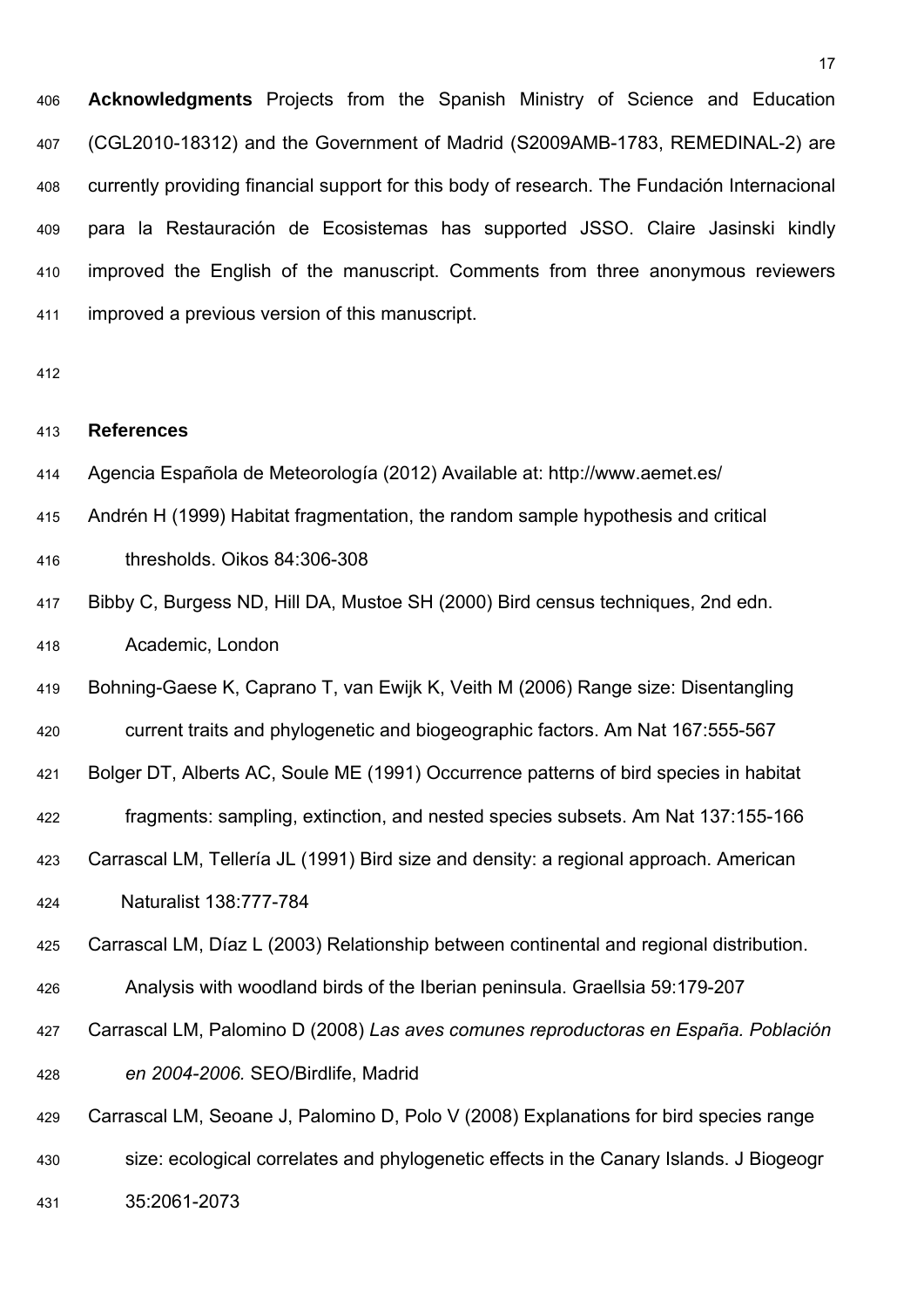406 **Acknowledgments** Projects from the Spanish Ministry of Science and Education 407 (CGL2010-18312) and the Government of Madrid (S2009AMB-1783, REMEDINAL-2) are 408 currently providing financial support for this body of research. The Fundación Internacional 409 para la Restauración de Ecosistemas has supported JSSO. Claire Jasinski kindly 410 improved the English of the manuscript. Comments from three anonymous reviewers 411 improved a previous version of this manuscript.

412

# 413 **References**

- 414 Agencia Española de Meteorología (2012) Available at: http://www.aemet.es/
- 415 Andrén H (1999) Habitat fragmentation, the random sample hypothesis and critical
- 416 thresholds. Oikos 84:306-308
- 417 Bibby C, Burgess ND, Hill DA, Mustoe SH (2000) Bird census techniques, 2nd edn. 418 Academic, London
- 419 Bohning-Gaese K, Caprano T, van Ewijk K, Veith M (2006) Range size: Disentangling
- 420 current traits and phylogenetic and biogeographic factors. Am Nat 167:555-567
- 421 Bolger DT, Alberts AC, Soule ME (1991) Occurrence patterns of bird species in habitat
- 422 fragments: sampling, extinction, and nested species subsets. Am Nat 137:155-166
- 423 Carrascal LM, Tellería JL (1991) Bird size and density: a regional approach. American
- 424 Naturalist 138:777-784
- 425 Carrascal LM, Díaz L (2003) Relationship between continental and regional distribution.
- 426 Analysis with woodland birds of the Iberian peninsula. Graellsia 59:179-207
- 427 Carrascal LM, Palomino D (2008) *Las aves comunes reproductoras en España. Población*  428 *en 2004-2006.* SEO/Birdlife, Madrid
- 429 Carrascal LM, Seoane J, Palomino D, Polo V (2008) Explanations for bird species range
- 430 size: ecological correlates and phylogenetic effects in the Canary Islands. J Biogeogr
- 431 35:2061-2073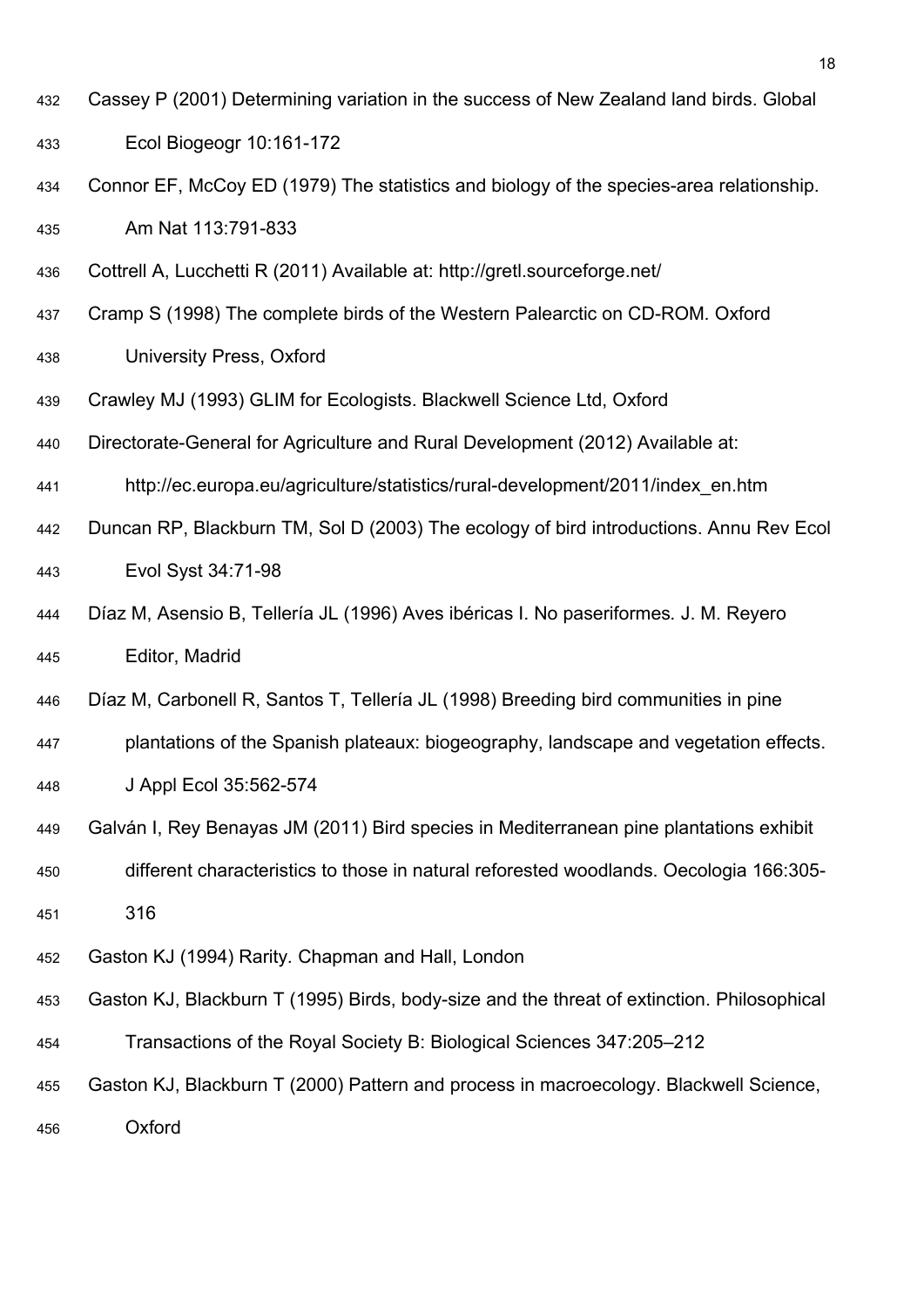- 432 Cassey P (2001) Determining variation in the success of New Zealand land birds. Global 433 Ecol Biogeogr 10:161-172
- 434 Connor EF, McCoy ED (1979) The statistics and biology of the species-area relationship. 435 Am Nat 113:791-833
- 436 Cottrell A, Lucchetti R (2011) Available at: http://gretl.sourceforge.net/
- 437 Cramp S (1998) The complete birds of the Western Palearctic on CD-ROM*.* Oxford

438 University Press, Oxford

- 439 Crawley MJ (1993) GLIM for Ecologists. Blackwell Science Ltd, Oxford
- 440 Directorate-General for Agriculture and Rural Development (2012) Available at:
- 441 http://ec.europa.eu/agriculture/statistics/rural-development/2011/index\_en.htm
- 442 Duncan RP, Blackburn TM, Sol D (2003) The ecology of bird introductions. Annu Rev Ecol 443 Evol Syst 34:71-98
- 444 Díaz M, Asensio B, Tellería JL (1996) Aves ibéricas I. No paseriformes*.* J. M. Reyero 445 Editor, Madrid
- 446 Díaz M, Carbonell R, Santos T, Tellería JL (1998) Breeding bird communities in pine
- 447 plantations of the Spanish plateaux: biogeography, landscape and vegetation effects. 448 J Appl Ecol 35:562-574
- 449 Galván I, Rey Benayas JM (2011) Bird species in Mediterranean pine plantations exhibit
- 450 different characteristics to those in natural reforested woodlands. Oecologia 166:305-
- 451 316
- 452 Gaston KJ (1994) Rarity*.* Chapman and Hall, London
- 453 Gaston KJ, Blackburn T (1995) Birds, body-size and the threat of extinction. Philosophical 454 Transactions of the Royal Society B: Biological Sciences 347:205–212
- 455 Gaston KJ, Blackburn T (2000) Pattern and process in macroecology. Blackwell Science,
- 456 Oxford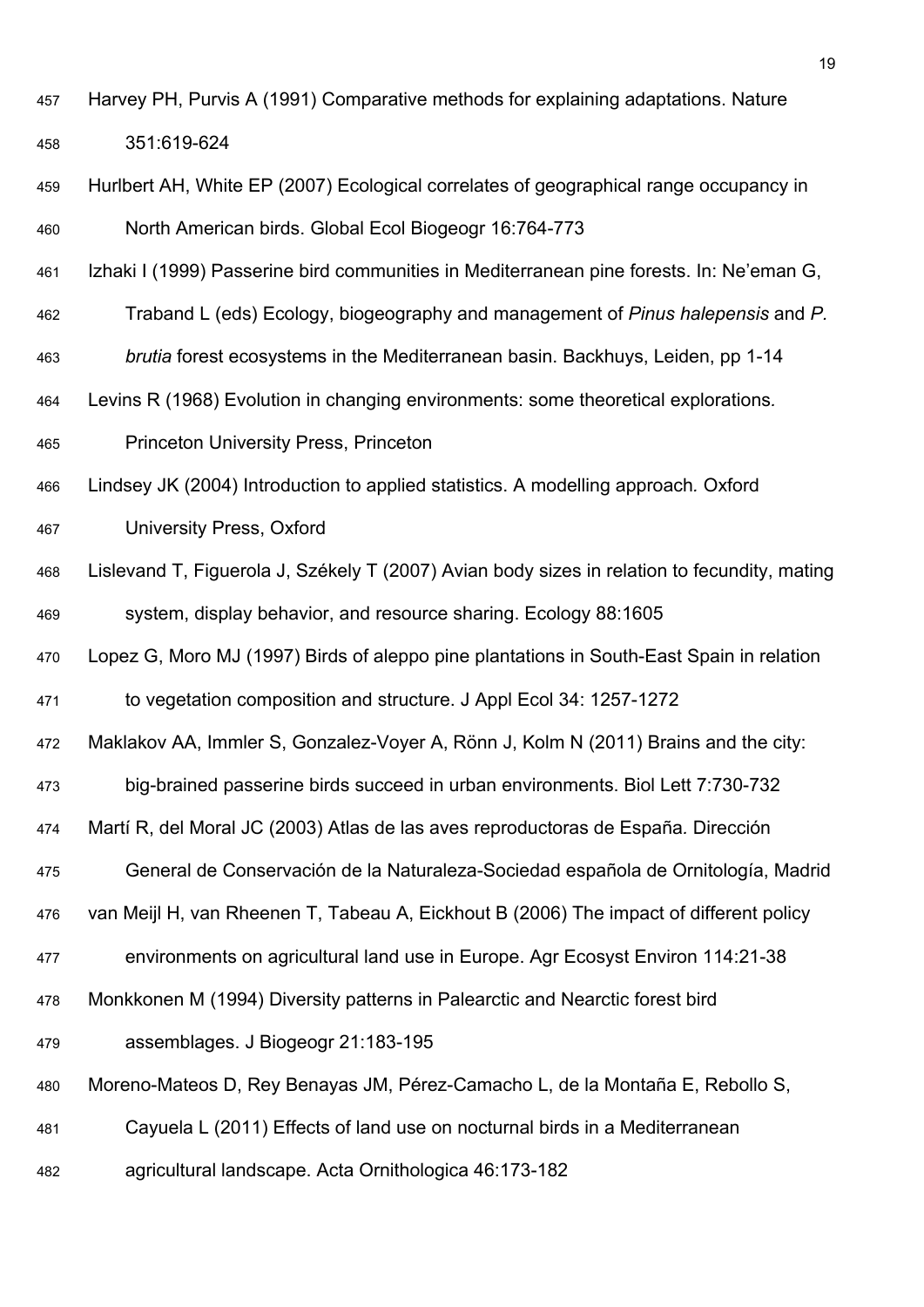457 Harvey PH, Purvis A (1991) Comparative methods for explaining adaptations. Nature 458 351:619-624

- 459 Hurlbert AH, White EP (2007) Ecological correlates of geographical range occupancy in 460 North American birds. Global Ecol Biogeogr 16:764-773
- 461 Izhaki I (1999) Passerine bird communities in Mediterranean pine forests. In: Ne'eman G,
- 462 Traband L (eds) Ecology, biogeography and management of *Pinus halepensis* and *P.*
- 463 *brutia* forest ecosystems in the Mediterranean basin. Backhuys, Leiden, pp 1-14
- 464 Levins R (1968) Evolution in changing environments: some theoretical explorations*.*
- 465 Princeton University Press, Princeton
- 466 Lindsey JK (2004) Introduction to applied statistics. A modelling approach*.* Oxford
- 467 University Press, Oxford
- 468 Lislevand T, Figuerola J, Székely T (2007) Avian body sizes in relation to fecundity, mating 469 system, display behavior, and resource sharing. Ecology 88:1605
- 470 Lopez G, Moro MJ (1997) Birds of aleppo pine plantations in South-East Spain in relation
- 471 to vegetation composition and structure. J Appl Ecol 34: 1257-1272
- 472 Maklakov AA, Immler S, Gonzalez-Voyer A, Rönn J, Kolm N (2011) Brains and the city:
- 473 big-brained passerine birds succeed in urban environments. Biol Lett 7:730-732
- 474 Martí R, del Moral JC (2003) Atlas de las aves reproductoras de España*.* Dirección
- 475 General de Conservación de la Naturaleza-Sociedad española de Ornitología, Madrid
- 476 van Meijl H, van Rheenen T, Tabeau A, Eickhout B (2006) The impact of different policy
- 477 environments on agricultural land use in Europe. Agr Ecosyst Environ 114:21-38
- 478 Monkkonen M (1994) Diversity patterns in Palearctic and Nearctic forest bird
- 479 assemblages. J Biogeogr 21:183-195
- 480 Moreno-Mateos D, Rey Benayas JM, Pérez-Camacho L, de la Montaña E, Rebollo S,
- 481 Cayuela L (2011) Effects of land use on nocturnal birds in a Mediterranean
- 482 agricultural landscape. Acta Ornithologica 46:173-182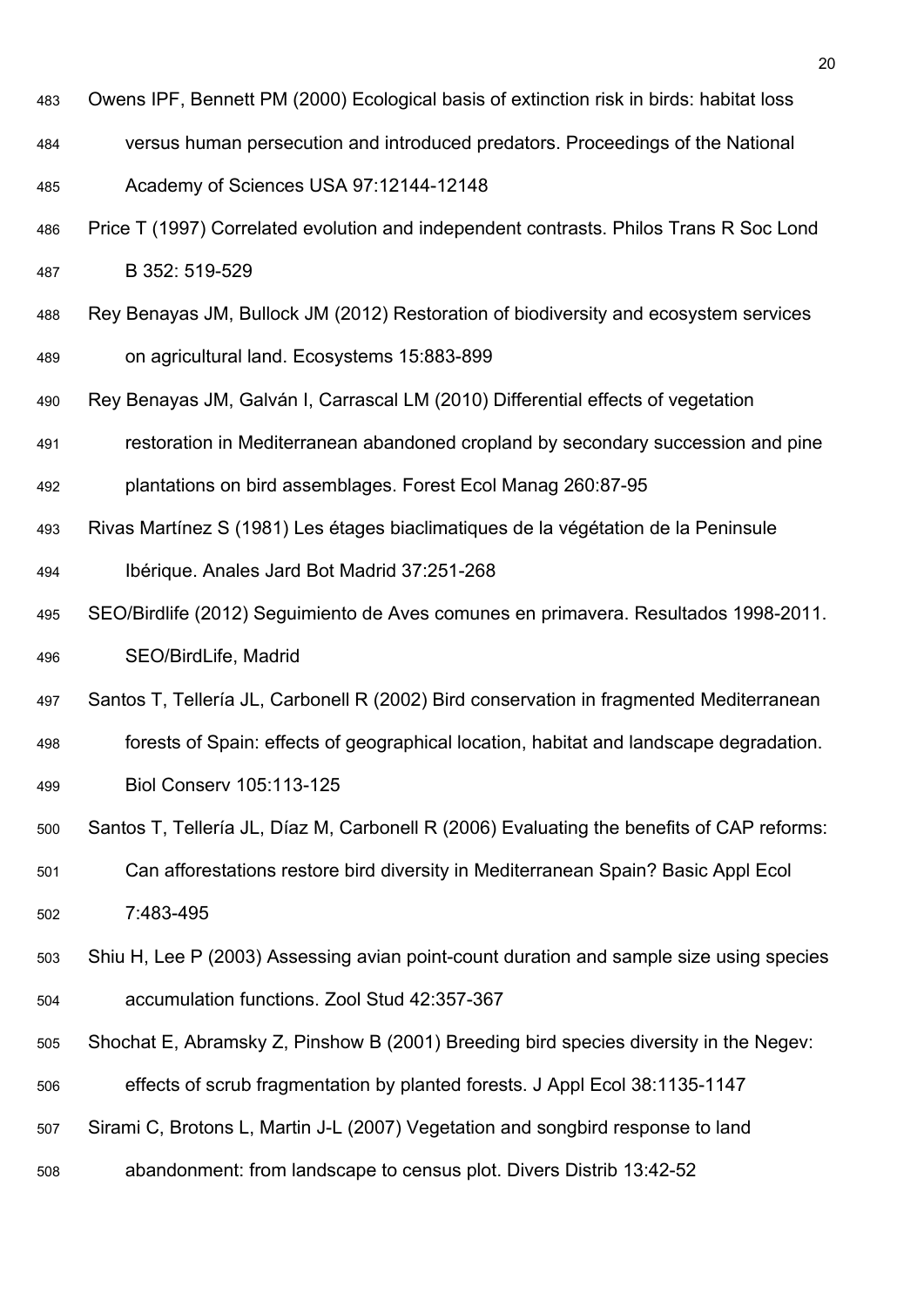- 483 Owens IPF, Bennett PM (2000) Ecological basis of extinction risk in birds: habitat loss
- 484 versus human persecution and introduced predators. Proceedings of the National 485 Academy of Sciences USA 97:12144-12148
- 486 Price T (1997) Correlated evolution and independent contrasts. Philos Trans R Soc Lond 487 B 352: 519-529
- 488 Rey Benayas JM, Bullock JM (2012) Restoration of biodiversity and ecosystem services 489 on agricultural land. Ecosystems 15:883-899
- 490 Rey Benayas JM, Galván I, Carrascal LM (2010) Differential effects of vegetation
- 491 restoration in Mediterranean abandoned cropland by secondary succession and pine 492 plantations on bird assemblages. Forest Ecol Manag 260:87-95
- 493 Rivas Martínez S (1981) Les étages biaclimatiques de la végétation de la Peninsule
- 494 Ibérique. Anales Jard Bot Madrid 37:251-268
- 495 SEO/Birdlife (2012) Seguimiento de Aves comunes en primavera. Resultados 1998-2011. 496 SEO/BirdLife, Madrid
- 497 Santos T, Tellería JL, Carbonell R (2002) Bird conservation in fragmented Mediterranean 498 forests of Spain: effects of geographical location, habitat and landscape degradation. 499 Biol Conserv 105:113-125
- 500 Santos T, Tellería JL, Díaz M, Carbonell R (2006) Evaluating the benefits of CAP reforms:
- 501 Can afforestations restore bird diversity in Mediterranean Spain? Basic Appl Ecol
- 502 7:483-495
- 503 Shiu H, Lee P (2003) Assessing avian point-count duration and sample size using species 504 accumulation functions. Zool Stud 42:357-367
- 505 Shochat E, Abramsky Z, Pinshow B (2001) Breeding bird species diversity in the Negev:
- 506 effects of scrub fragmentation by planted forests. J Appl Ecol 38:1135-1147
- 507 Sirami C, Brotons L, Martin J-L (2007) Vegetation and songbird response to land
- 508 abandonment: from landscape to census plot. Divers Distrib 13:42-52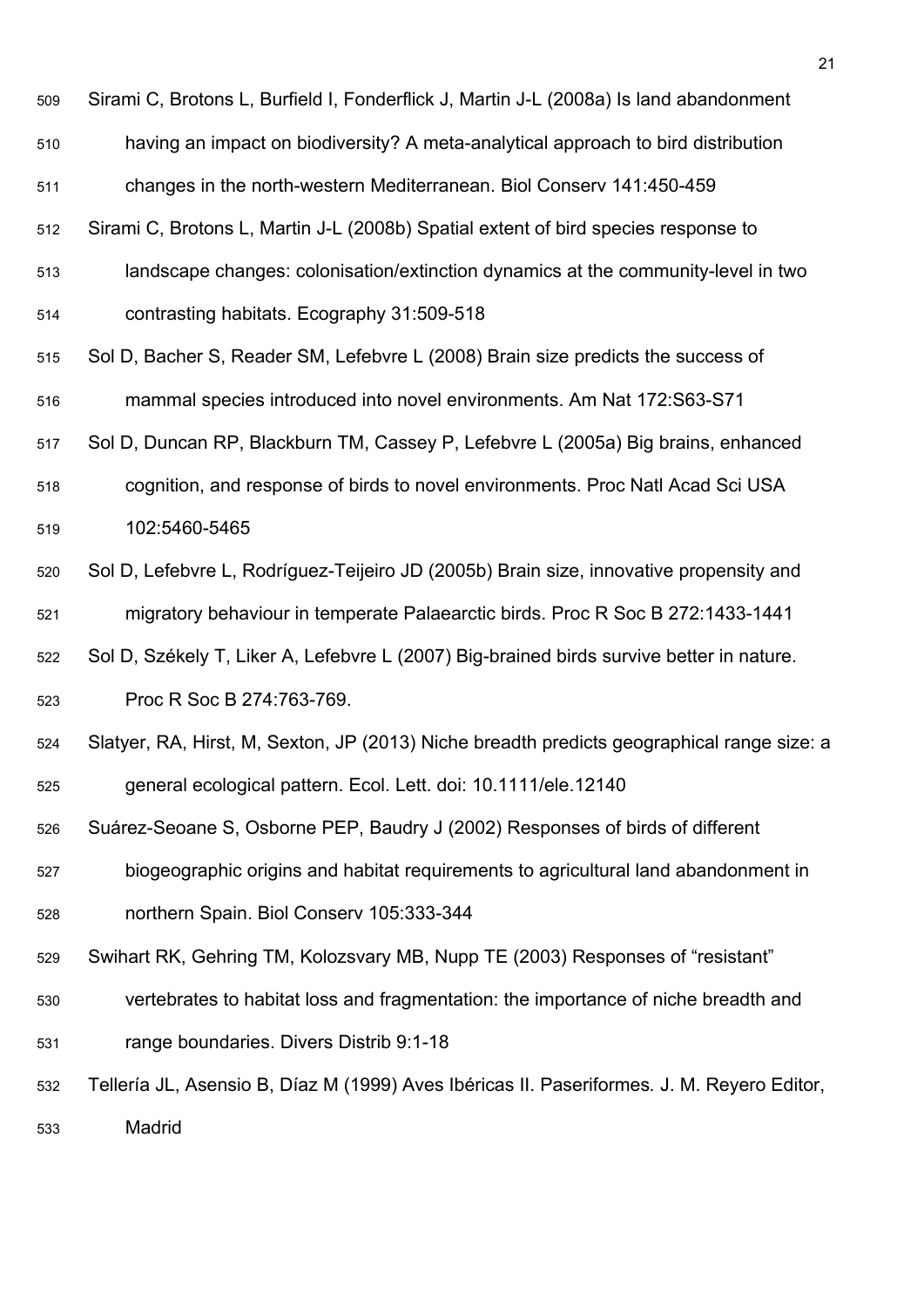| 509 | Sirami C, Brotons L, Burfield I, Fonderflick J, Martin J-L (2008a) Is land abandonment     |
|-----|--------------------------------------------------------------------------------------------|
| 510 | having an impact on biodiversity? A meta-analytical approach to bird distribution          |
| 511 | changes in the north-western Mediterranean. Biol Conserv 141:450-459                       |
| 512 | Sirami C, Brotons L, Martin J-L (2008b) Spatial extent of bird species response to         |
| 513 | landscape changes: colonisation/extinction dynamics at the community-level in two          |
| 514 | contrasting habitats. Ecography 31:509-518                                                 |
| 515 | Sol D, Bacher S, Reader SM, Lefebvre L (2008) Brain size predicts the success of           |
| 516 | mammal species introduced into novel environments. Am Nat 172:S63-S71                      |
| 517 | Sol D, Duncan RP, Blackburn TM, Cassey P, Lefebvre L (2005a) Big brains, enhanced          |
| 518 | cognition, and response of birds to novel environments. Proc Natl Acad Sci USA             |
| 519 | 102:5460-5465                                                                              |
| 520 | Sol D, Lefebvre L, Rodríguez-Teijeiro JD (2005b) Brain size, innovative propensity and     |
| 521 | migratory behaviour in temperate Palaearctic birds. Proc R Soc B 272:1433-1441             |
| 522 | Sol D, Székely T, Liker A, Lefebvre L (2007) Big-brained birds survive better in nature.   |
| 523 | Proc R Soc B 274:763-769.                                                                  |
| 524 | Slatyer, RA, Hirst, M, Sexton, JP (2013) Niche breadth predicts geographical range size: a |
| 525 | general ecological pattern. Ecol. Lett. doi: 10.1111/ele.12140                             |
| 526 | Suárez-Seoane S, Osborne PEP, Baudry J (2002) Responses of birds of different              |
| 527 | biogeographic origins and habitat requirements to agricultural land abandonment in         |
| 528 | northern Spain. Biol Conserv 105:333-344                                                   |
| 529 | Swihart RK, Gehring TM, Kolozsvary MB, Nupp TE (2003) Responses of "resistant"             |
| 530 | vertebrates to habitat loss and fragmentation: the importance of niche breadth and         |
| 531 | range boundaries. Divers Distrib 9:1-18                                                    |
| 532 | Tellería JL, Asensio B, Díaz M (1999) Aves Ibéricas II. Paseriformes. J. M. Reyero Editor, |
| 533 | Madrid                                                                                     |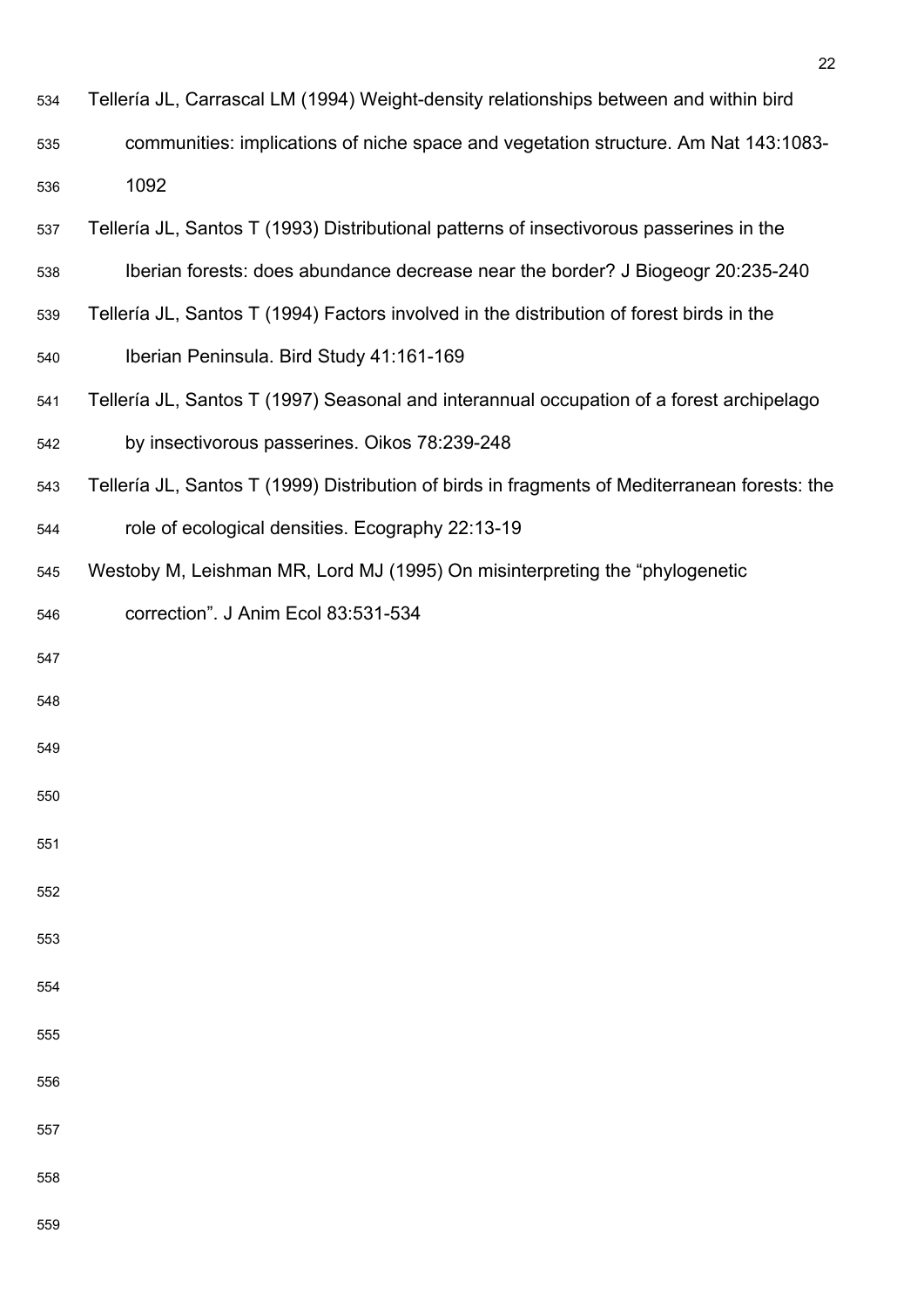- 534 Tellería JL, Carrascal LM (1994) Weight-density relationships between and within bird 535 communities: implications of niche space and vegetation structure. Am Nat 143:1083- 536 1092
- 537 Tellería JL, Santos T (1993) Distributional patterns of insectivorous passerines in the 538 Iberian forests: does abundance decrease near the border? J Biogeogr 20:235-240
- 539 Tellería JL, Santos T (1994) Factors involved in the distribution of forest birds in the
- 540 Iberian Peninsula. Bird Study 41:161-169
- 541 Tellería JL, Santos T (1997) Seasonal and interannual occupation of a forest archipelago 542 by insectivorous passerines. Oikos 78:239-248
- 543 Tellería JL, Santos T (1999) Distribution of birds in fragments of Mediterranean forests: the 544 role of ecological densities. Ecography 22:13-19
- 545 Westoby M, Leishman MR, Lord MJ (1995) On misinterpreting the "phylogenetic
- 546 correction". J Anim Ecol 83:531-534
- 547
- 548
- 549
- 550
- 551
- 552
- 553
- 554
- 
- 555
- 556
- 557
- 
- 558
- 559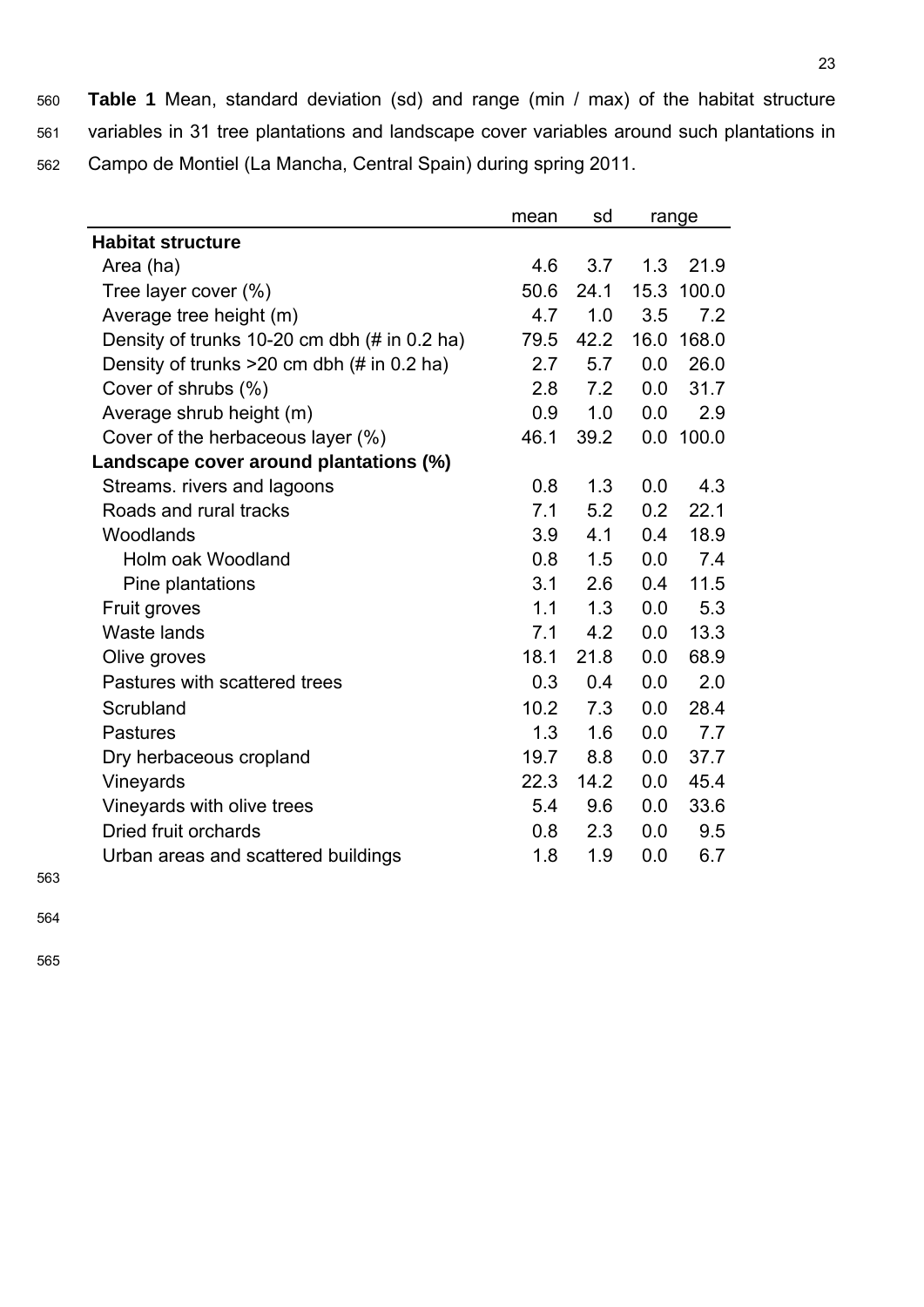560 **Table 1** Mean, standard deviation (sd) and range (min / max) of the habitat structure 561 variables in 31 tree plantations and landscape cover variables around such plantations in 562 Campo de Montiel (La Mancha, Central Spain) during spring 2011.

|                                                                  | mean | sd   |     | range      |
|------------------------------------------------------------------|------|------|-----|------------|
| <b>Habitat structure</b>                                         |      |      |     |            |
| Area (ha)                                                        | 4.6  | 3.7  | 1.3 | 21.9       |
| Tree layer cover (%)                                             | 50.6 | 24.1 |     | 15.3 100.0 |
| Average tree height (m)                                          | 4.7  | 1.0  | 3.5 | 7.2        |
| Density of trunks 10-20 cm dbh $(\# \text{ in } 0.2 \text{ ha})$ | 79.5 | 42.2 |     | 16.0 168.0 |
| Density of trunks $>20$ cm dbh (# in 0.2 ha)                     | 2.7  | 5.7  | 0.0 | 26.0       |
| Cover of shrubs (%)                                              | 2.8  | 7.2  | 0.0 | 31.7       |
| Average shrub height (m)                                         | 0.9  | 1.0  | 0.0 | 2.9        |
| Cover of the herbaceous layer (%)                                | 46.1 | 39.2 |     | 0.0 100.0  |
| Landscape cover around plantations (%)                           |      |      |     |            |
| Streams. rivers and lagoons                                      | 0.8  | 1.3  | 0.0 | 4.3        |
| Roads and rural tracks                                           | 7.1  | 5.2  | 0.2 | 22.1       |
| Woodlands                                                        | 3.9  | 4.1  | 0.4 | 18.9       |
| Holm oak Woodland                                                | 0.8  | 1.5  | 0.0 | 7.4        |
| Pine plantations                                                 | 3.1  | 2.6  | 0.4 | 11.5       |
| Fruit groves                                                     | 1.1  | 1.3  | 0.0 | 5.3        |
| Waste lands                                                      | 7.1  | 4.2  | 0.0 | 13.3       |
| Olive groves                                                     | 18.1 | 21.8 | 0.0 | 68.9       |
| Pastures with scattered trees                                    | 0.3  | 0.4  | 0.0 | 2.0        |
| Scrubland                                                        | 10.2 | 7.3  | 0.0 | 28.4       |
| <b>Pastures</b>                                                  | 1.3  | 1.6  | 0.0 | 7.7        |
| Dry herbaceous cropland                                          | 19.7 | 8.8  | 0.0 | 37.7       |
| Vineyards                                                        | 22.3 | 14.2 | 0.0 | 45.4       |
| Vineyards with olive trees                                       | 5.4  | 9.6  | 0.0 | 33.6       |
| Dried fruit orchards                                             | 0.8  | 2.3  | 0.0 | 9.5        |
| Urban areas and scattered buildings                              | 1.8  | 1.9  | 0.0 | 6.7        |

563

564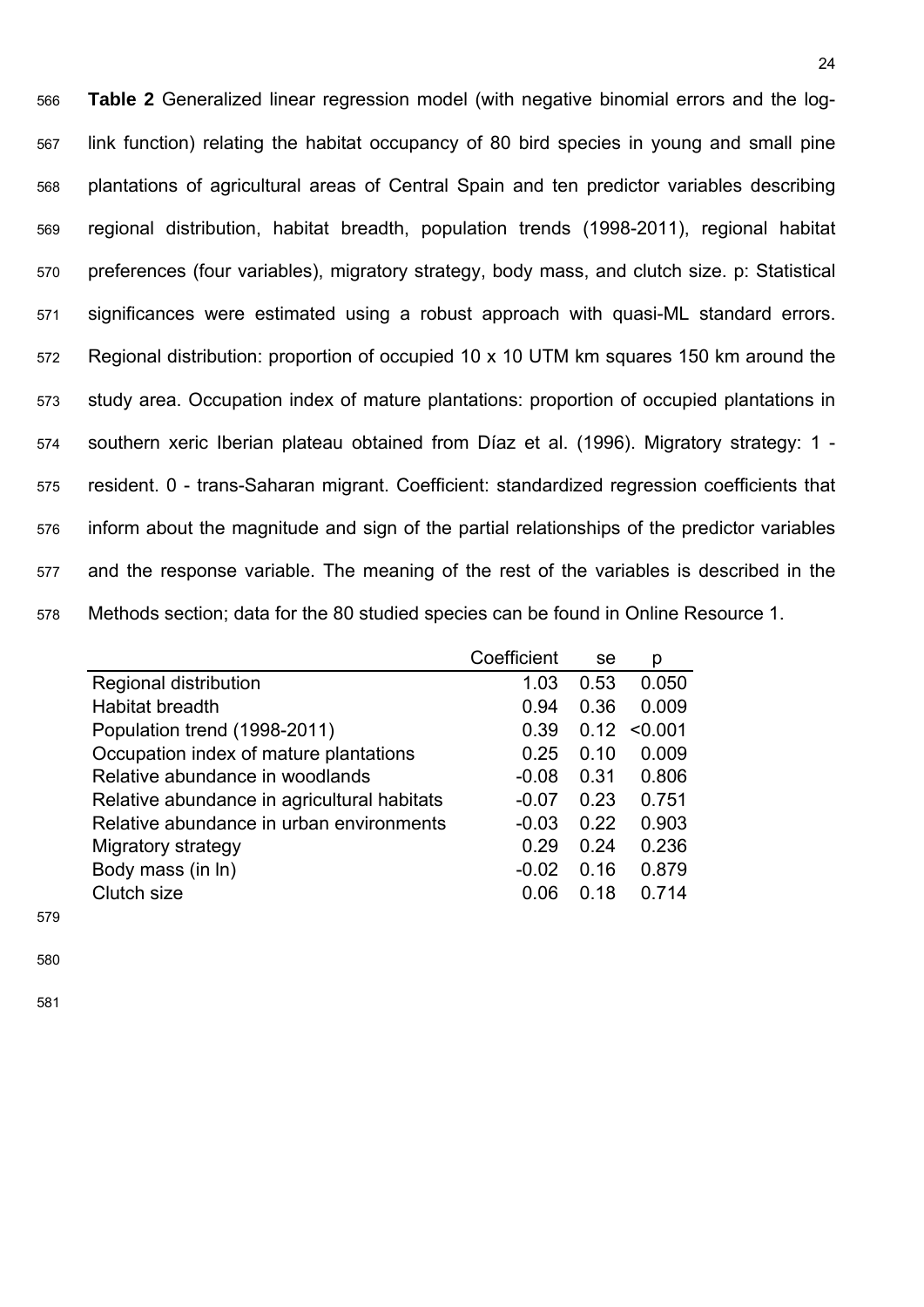566 **Table 2** Generalized linear regression model (with negative binomial errors and the log-567 link function) relating the habitat occupancy of 80 bird species in young and small pine 568 plantations of agricultural areas of Central Spain and ten predictor variables describing 569 regional distribution, habitat breadth, population trends (1998-2011), regional habitat 570 preferences (four variables), migratory strategy, body mass, and clutch size. p: Statistical 571 significances were estimated using a robust approach with quasi-ML standard errors. 572 Regional distribution: proportion of occupied 10 x 10 UTM km squares 150 km around the 573 study area. Occupation index of mature plantations: proportion of occupied plantations in 574 southern xeric Iberian plateau obtained from Díaz et al. (1996). Migratory strategy: 1 - 575 resident. 0 - trans-Saharan migrant. Coefficient: standardized regression coefficients that 576 inform about the magnitude and sign of the partial relationships of the predictor variables 577 and the response variable. The meaning of the rest of the variables is described in the 578 Methods section; data for the 80 studied species can be found in Online Resource 1.

|                                             | Coefficient | se   | р       |
|---------------------------------------------|-------------|------|---------|
| Regional distribution                       | 1.03        | 0.53 | 0.050   |
| <b>Habitat breadth</b>                      | 0.94        | 0.36 | 0.009   |
| Population trend (1998-2011)                | 0.39        | 0.12 | < 0.001 |
| Occupation index of mature plantations      | 0.25        | 0.10 | 0.009   |
| Relative abundance in woodlands             | $-0.08$     | 0.31 | 0.806   |
| Relative abundance in agricultural habitats | $-0.07$     | 0.23 | 0.751   |
| Relative abundance in urban environments    | $-0.03$     | 0.22 | 0.903   |
| Migratory strategy                          | 0.29        | 0.24 | 0.236   |
| Body mass (in ln)                           | $-0.02$     | 0 16 | 0.879   |
| Clutch size                                 | 0.06        | 0 18 | 0.714   |
|                                             |             |      |         |

579

580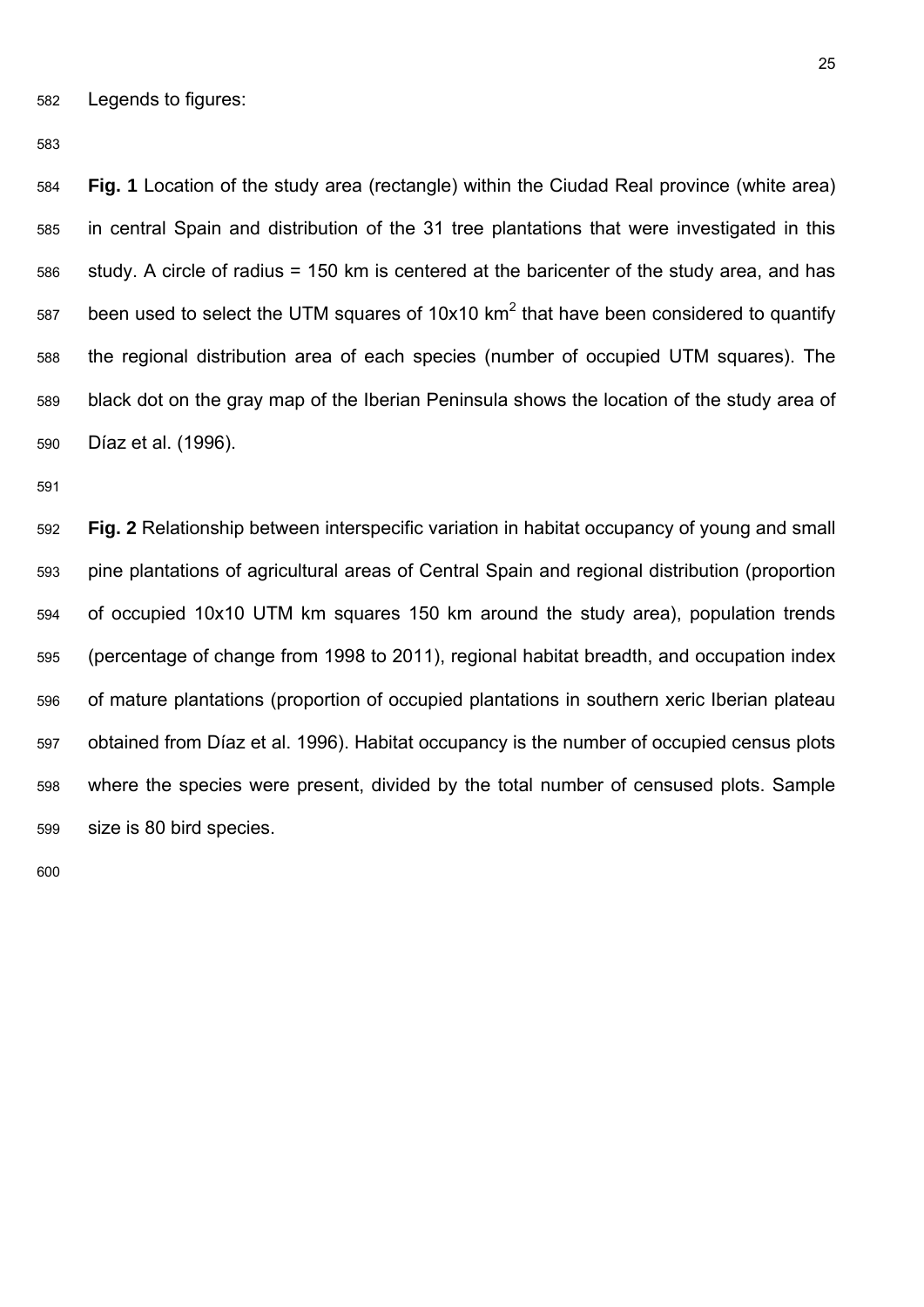582 Legends to figures:

583

584 **Fig. 1** Location of the study area (rectangle) within the Ciudad Real province (white area) 585 in central Spain and distribution of the 31 tree plantations that were investigated in this 586 study. A circle of radius = 150 km is centered at the baricenter of the study area, and has  $587$  been used to select the UTM squares of 10x10 km<sup>2</sup> that have been considered to quantify 588 the regional distribution area of each species (number of occupied UTM squares). The 589 black dot on the gray map of the Iberian Peninsula shows the location of the study area of 590 Díaz et al. (1996).

591

592 **Fig. 2** Relationship between interspecific variation in habitat occupancy of young and small 593 pine plantations of agricultural areas of Central Spain and regional distribution (proportion 594 of occupied 10x10 UTM km squares 150 km around the study area), population trends 595 (percentage of change from 1998 to 2011), regional habitat breadth, and occupation index 596 of mature plantations (proportion of occupied plantations in southern xeric Iberian plateau 597 obtained from Díaz et al. 1996). Habitat occupancy is the number of occupied census plots 598 where the species were present, divided by the total number of censused plots. Sample 599 size is 80 bird species.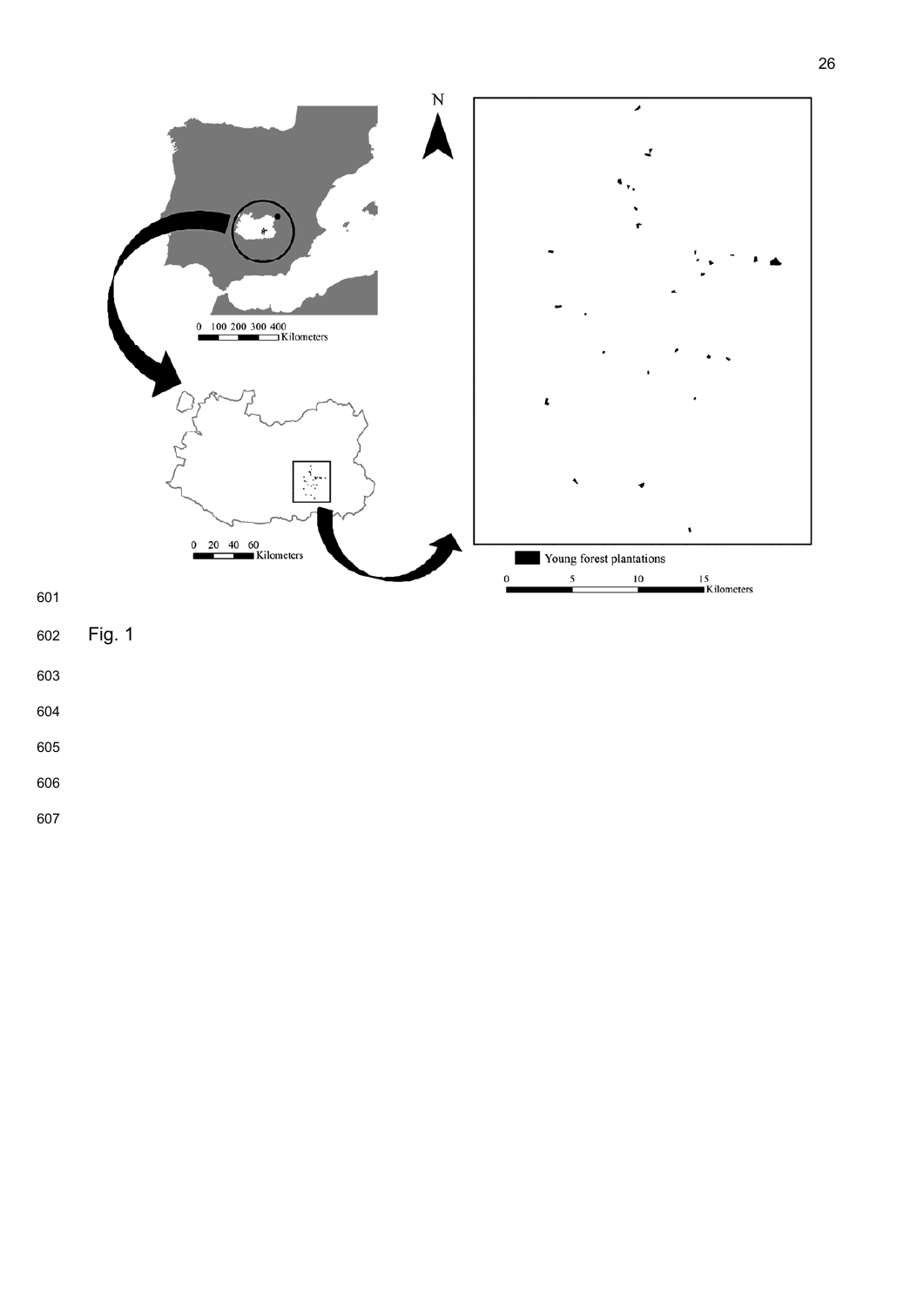